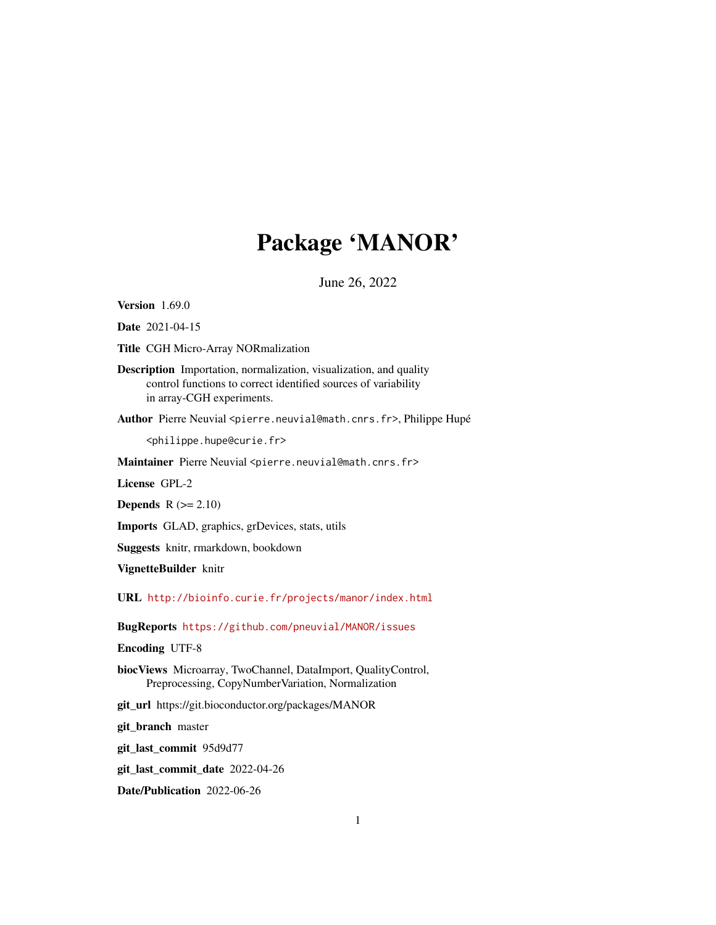# Package 'MANOR'

June 26, 2022

<span id="page-0-0"></span>Version 1.69.0

Date 2021-04-15

Title CGH Micro-Array NORmalization

Description Importation, normalization, visualization, and quality control functions to correct identified sources of variability in array-CGH experiments.

Author Pierre Neuvial <pierre.neuvial@math.cnrs.fr>, Philippe Hupé

<philippe.hupe@curie.fr>

Maintainer Pierre Neuvial <pierre.neuvial@math.cnrs.fr>

License GPL-2

**Depends**  $R$  ( $>= 2.10$ )

Imports GLAD, graphics, grDevices, stats, utils

Suggests knitr, rmarkdown, bookdown

VignetteBuilder knitr

URL <http://bioinfo.curie.fr/projects/manor/index.html>

BugReports <https://github.com/pneuvial/MANOR/issues>

Encoding UTF-8

biocViews Microarray, TwoChannel, DataImport, QualityControl, Preprocessing, CopyNumberVariation, Normalization

git\_url https://git.bioconductor.org/packages/MANOR

git\_branch master

git\_last\_commit 95d9d77

git\_last\_commit\_date 2022-04-26

Date/Publication 2022-06-26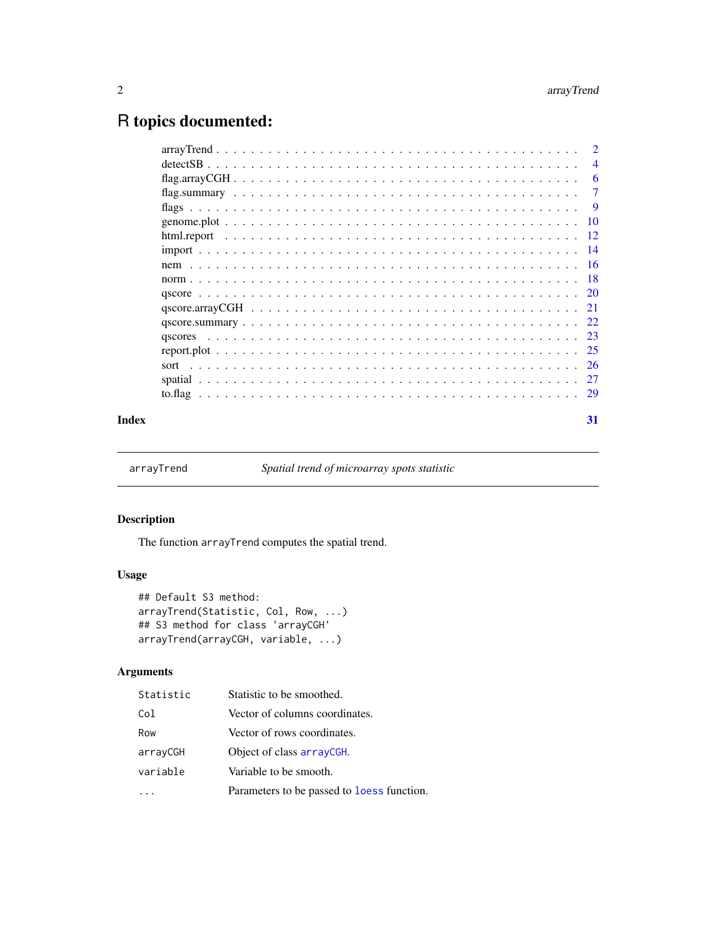# <span id="page-1-0"></span>R topics documented:

|       |      | $\overline{2}$ |
|-------|------|----------------|
|       |      | $\overline{4}$ |
|       |      | -6             |
|       |      | $\overline{7}$ |
|       |      | - 9            |
|       |      |                |
|       |      |                |
|       |      |                |
|       |      |                |
|       |      |                |
|       |      |                |
|       |      |                |
|       |      |                |
|       |      |                |
|       |      |                |
|       | sort |                |
|       |      |                |
|       |      |                |
| Index |      | 31             |

<span id="page-1-1"></span>arrayTrend *Spatial trend of microarray spots statistic*

# Description

The function arrayTrend computes the spatial trend.

# Usage

```
## Default S3 method:
arrayTrend(Statistic, Col, Row, ...)
## S3 method for class 'arrayCGH'
arrayTrend(arrayCGH, variable, ...)
```
# Arguments

| Statistic | Statistic to be smoothed.                         |
|-----------|---------------------------------------------------|
| Col       | Vector of columns coordinates.                    |
| Row       | Vector of rows coordinates.                       |
| arrayCGH  | Object of class arrayCGH.                         |
| variable  | Variable to be smooth.                            |
|           | Parameters to be passed to <b>loess</b> function. |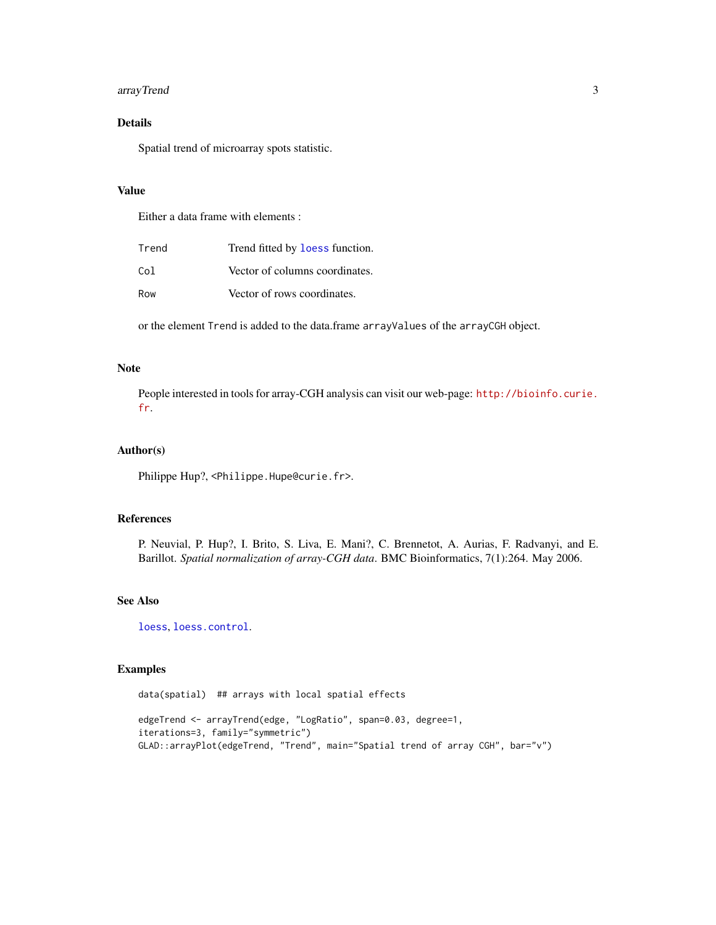# <span id="page-2-0"></span>arrayTrend 3

# Details

Spatial trend of microarray spots statistic.

#### Value

Either a data frame with elements :

| Trend | Trend fitted by loess function. |
|-------|---------------------------------|
| Col   | Vector of columns coordinates.  |
| Row   | Vector of rows coordinates.     |

or the element Trend is added to the data.frame arrayValues of the arrayCGH object.

# Note

People interested in tools for array-CGH analysis can visit our web-page: [http://bioinfo.curie.](http://bioinfo.curie.fr) [fr](http://bioinfo.curie.fr).

# Author(s)

Philippe Hup?, <Philippe.Hupe@curie.fr>.

#### References

P. Neuvial, P. Hup?, I. Brito, S. Liva, E. Mani?, C. Brennetot, A. Aurias, F. Radvanyi, and E. Barillot. *Spatial normalization of array-CGH data*. BMC Bioinformatics, 7(1):264. May 2006.

#### See Also

[loess](#page-0-0), [loess.control](#page-0-0).

# Examples

data(spatial) ## arrays with local spatial effects edgeTrend <- arrayTrend(edge, "LogRatio", span=0.03, degree=1, iterations=3, family="symmetric") GLAD::arrayPlot(edgeTrend, "Trend", main="Spatial trend of array CGH", bar="v")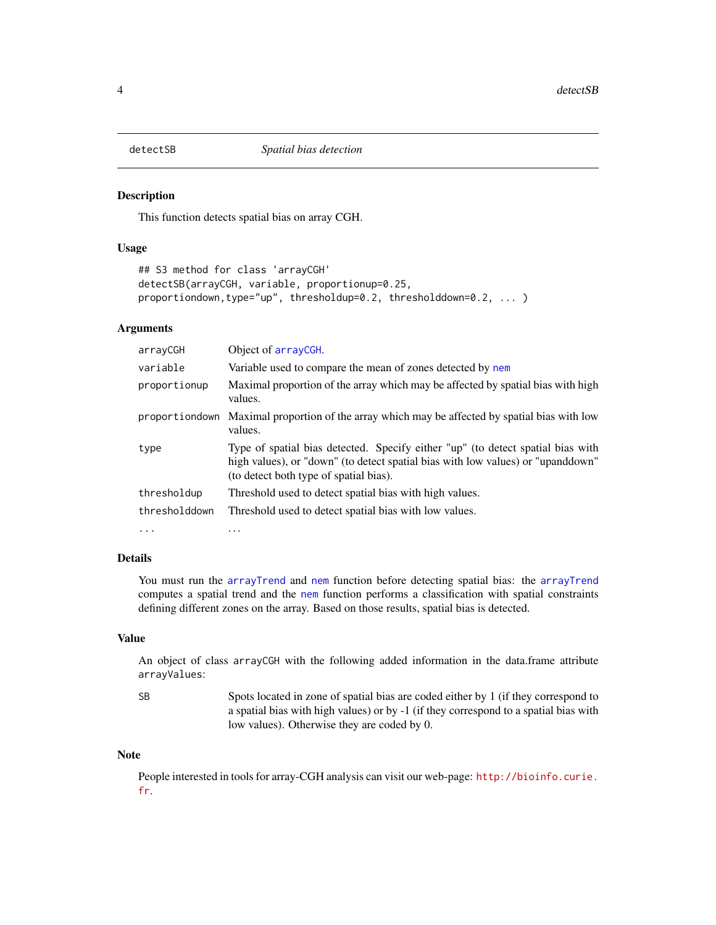<span id="page-3-0"></span>

#### Description

This function detects spatial bias on array CGH.

#### Usage

```
## S3 method for class 'arrayCGH'
detectSB(arrayCGH, variable, proportionup=0.25,
proportiondown,type="up", thresholdup=0.2, thresholddown=0.2, ... )
```
# Arguments

| arrayCGH       | Object of arrayCGH.                                                                                                                                                                                          |
|----------------|--------------------------------------------------------------------------------------------------------------------------------------------------------------------------------------------------------------|
| variable       | Variable used to compare the mean of zones detected by nem                                                                                                                                                   |
| proportionup   | Maximal proportion of the array which may be affected by spatial bias with high<br>values.                                                                                                                   |
| proportiondown | Maximal proportion of the array which may be affected by spatial bias with low<br>values.                                                                                                                    |
| type           | Type of spatial bias detected. Specify either "up" (to detect spatial bias with<br>high values), or "down" (to detect spatial bias with low values) or "upanddown"<br>(to detect both type of spatial bias). |
| thresholdup    | Threshold used to detect spatial bias with high values.                                                                                                                                                      |
| thresholddown  | Threshold used to detect spatial bias with low values.                                                                                                                                                       |
| $\cdots$       | $\cdots$                                                                                                                                                                                                     |

#### Details

You must run the [arrayTrend](#page-1-1) and [nem](#page-15-1) function before detecting spatial bias: the [arrayTrend](#page-1-1) computes a spatial trend and the [nem](#page-15-1) function performs a classification with spatial constraints defining different zones on the array. Based on those results, spatial bias is detected.

#### Value

An object of class arrayCGH with the following added information in the data.frame attribute arrayValues:

SB Spots located in zone of spatial bias are coded either by 1 (if they correspond to a spatial bias with high values) or by -1 (if they correspond to a spatial bias with low values). Otherwise they are coded by 0.

#### Note

People interested in tools for array-CGH analysis can visit our web-page: [http://bioinfo.curie.](http://bioinfo.curie.fr) [fr](http://bioinfo.curie.fr).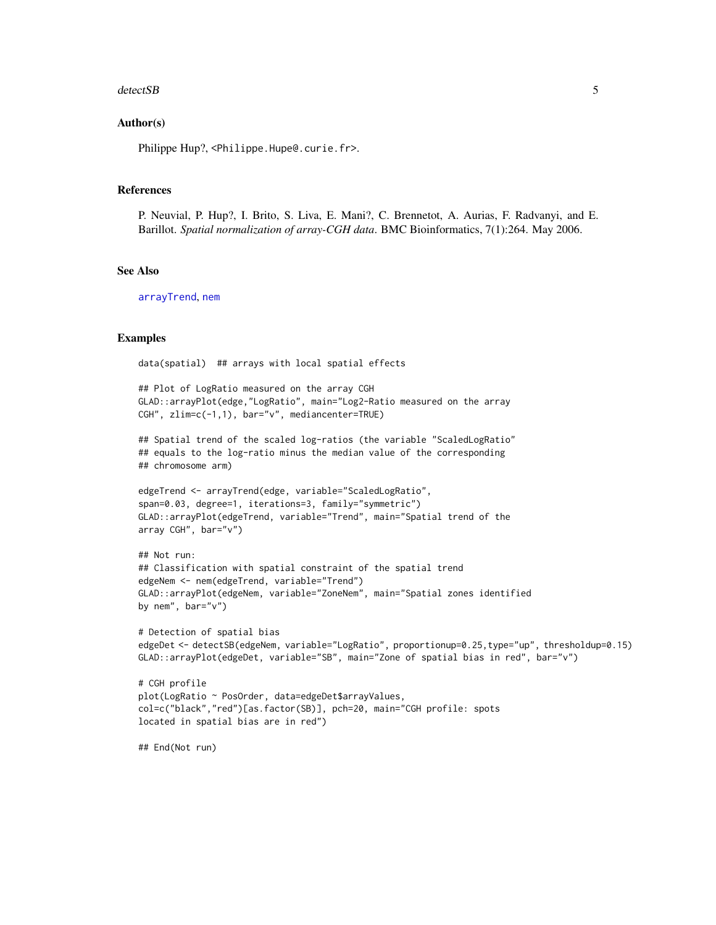#### <span id="page-4-0"></span>detectSB 5

#### Author(s)

Philippe Hup?, <Philippe.Hupe@.curie.fr>.

#### References

P. Neuvial, P. Hup?, I. Brito, S. Liva, E. Mani?, C. Brennetot, A. Aurias, F. Radvanyi, and E. Barillot. *Spatial normalization of array-CGH data*. BMC Bioinformatics, 7(1):264. May 2006.

#### See Also

[arrayTrend](#page-1-1), [nem](#page-15-1)

#### Examples

data(spatial) ## arrays with local spatial effects

```
## Plot of LogRatio measured on the array CGH
GLAD::arrayPlot(edge,"LogRatio", main="Log2-Ratio measured on the array
CGH", zlim=c(-1,1), bar="v", mediancenter=TRUE)
```

```
## Spatial trend of the scaled log-ratios (the variable "ScaledLogRatio"
## equals to the log-ratio minus the median value of the corresponding
## chromosome arm)
```

```
edgeTrend <- arrayTrend(edge, variable="ScaledLogRatio",
span=0.03, degree=1, iterations=3, family="symmetric")
GLAD::arrayPlot(edgeTrend, variable="Trend", main="Spatial trend of the
array CGH", bar="v")
```

```
## Not run:
## Classification with spatial constraint of the spatial trend
edgeNem <- nem(edgeTrend, variable="Trend")
GLAD::arrayPlot(edgeNem, variable="ZoneNem", main="Spatial zones identified
by nem", bar="v")
```

```
# Detection of spatial bias
edgeDet <- detectSB(edgeNem, variable="LogRatio", proportionup=0.25,type="up", thresholdup=0.15)
GLAD::arrayPlot(edgeDet, variable="SB", main="Zone of spatial bias in red", bar="v")
```

```
# CGH profile
plot(LogRatio ~ PosOrder, data=edgeDet$arrayValues,
col=c("black","red")[as.factor(SB)], pch=20, main="CGH profile: spots
located in spatial bias are in red")
```
## End(Not run)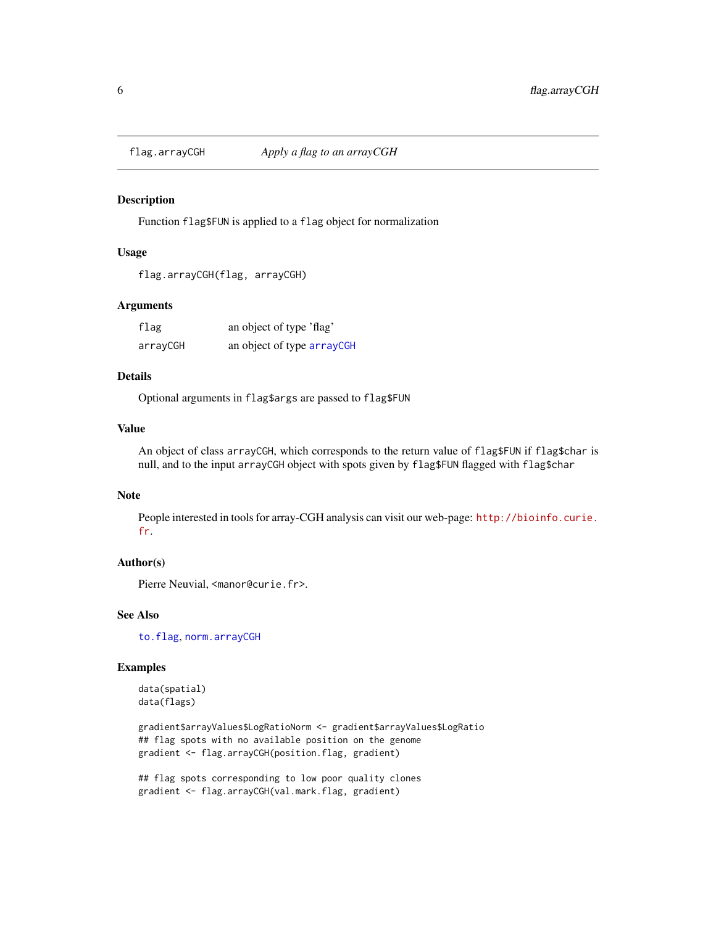<span id="page-5-2"></span><span id="page-5-0"></span>

#### <span id="page-5-1"></span>Description

Function flag\$FUN is applied to a flag object for normalization

#### Usage

```
flag.arrayCGH(flag, arrayCGH)
```
#### Arguments

| flag     | an object of type 'flag'   |
|----------|----------------------------|
| arrayCGH | an object of type arrayCGH |

#### Details

Optional arguments in flag\$args are passed to flag\$FUN

#### Value

An object of class arrayCGH, which corresponds to the return value of flag\$FUN if flag\$char is null, and to the input arrayCGH object with spots given by flag\$FUN flagged with flag\$char

# Note

People interested in tools for array-CGH analysis can visit our web-page: [http://bioinfo.curie.](http://bioinfo.curie.fr) [fr](http://bioinfo.curie.fr).

#### Author(s)

Pierre Neuvial, <manor@curie.fr>.

# See Also

[to.flag](#page-28-1), [norm.arrayCGH](#page-17-1)

#### Examples

data(spatial) data(flags)

gradient\$arrayValues\$LogRatioNorm <- gradient\$arrayValues\$LogRatio ## flag spots with no available position on the genome gradient <- flag.arrayCGH(position.flag, gradient)

## flag spots corresponding to low poor quality clones gradient <- flag.arrayCGH(val.mark.flag, gradient)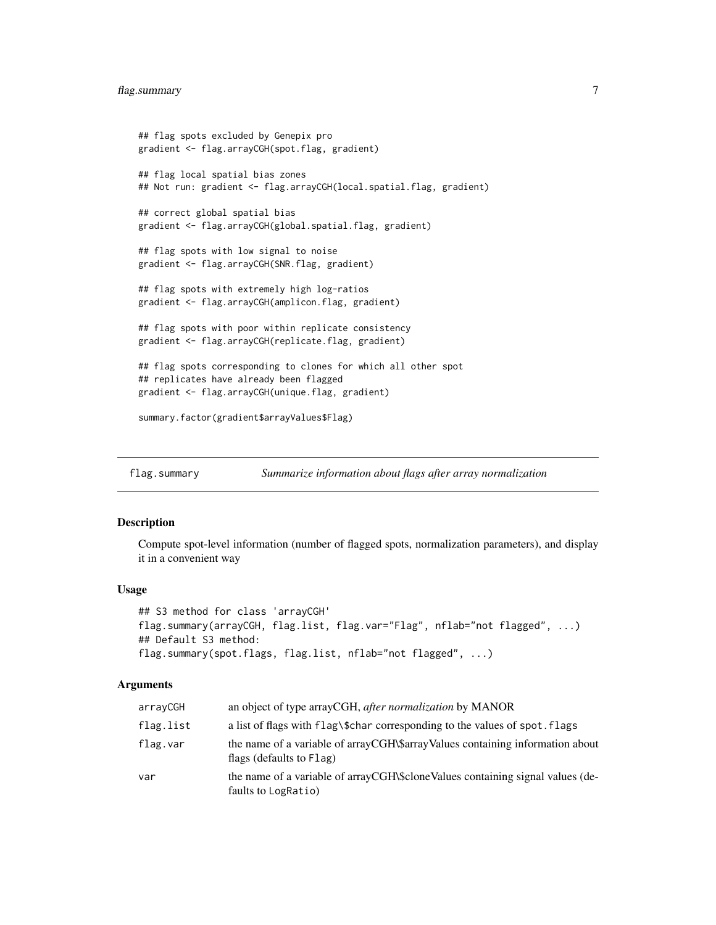### <span id="page-6-0"></span>flag.summary 7

```
## flag spots excluded by Genepix pro
gradient <- flag.arrayCGH(spot.flag, gradient)
## flag local spatial bias zones
## Not run: gradient <- flag.arrayCGH(local.spatial.flag, gradient)
## correct global spatial bias
gradient <- flag.arrayCGH(global.spatial.flag, gradient)
## flag spots with low signal to noise
gradient <- flag.arrayCGH(SNR.flag, gradient)
## flag spots with extremely high log-ratios
gradient <- flag.arrayCGH(amplicon.flag, gradient)
## flag spots with poor within replicate consistency
gradient <- flag.arrayCGH(replicate.flag, gradient)
## flag spots corresponding to clones for which all other spot
## replicates have already been flagged
gradient <- flag.arrayCGH(unique.flag, gradient)
summary.factor(gradient$arrayValues$Flag)
```
<span id="page-6-1"></span>flag.summary *Summarize information about flags after array normalization*

#### Description

Compute spot-level information (number of flagged spots, normalization parameters), and display it in a convenient way

#### Usage

```
## S3 method for class 'arrayCGH'
flag.summary(arrayCGH, flag.list, flag.var="Flag", nflab="not flagged", ...)
## Default S3 method:
flag.summary(spot.flags, flag.list, nflab="not flagged", ...)
```
#### Arguments

| arrayCGH  | an object of type arrayCGH, after normalization by MANOR                                                  |
|-----------|-----------------------------------------------------------------------------------------------------------|
| flag.list | a list of flags with flag\\$char corresponding to the values of spot. flags                               |
| flag.var  | the name of a variable of arrayCGH\\$arrayValues containing information about<br>flags (defaults to Flag) |
| var       | the name of a variable of arrayCGH\\$cloneValues containing signal values (de-<br>faults to LogRatio)     |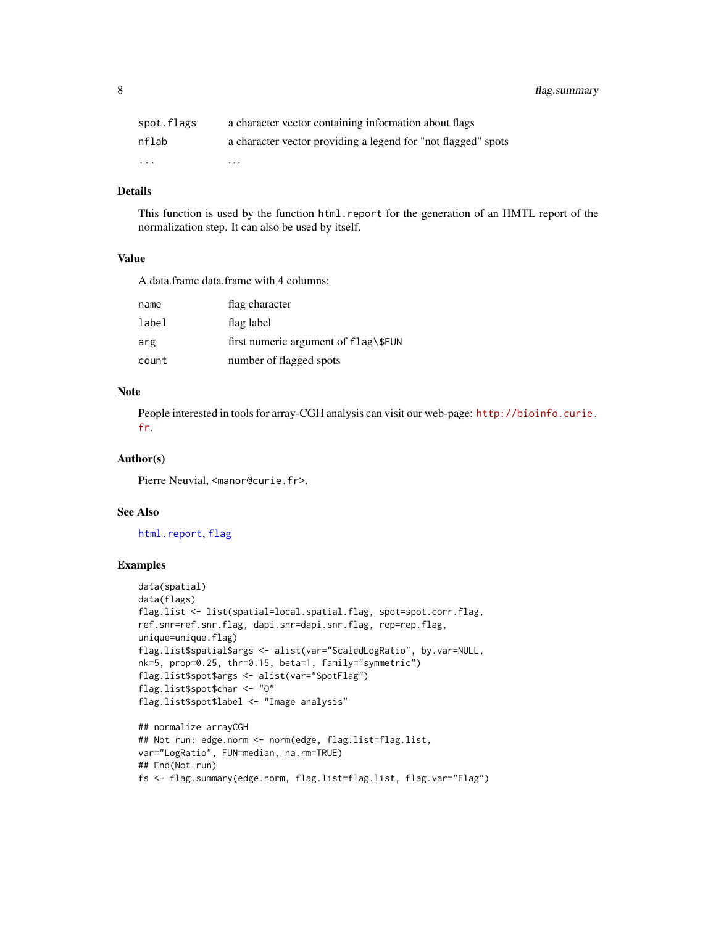<span id="page-7-0"></span>8 flag.summary

| spot.flags              | a character vector containing information about flags         |
|-------------------------|---------------------------------------------------------------|
| nflab                   | a character vector providing a legend for "not flagged" spots |
| $\cdot$ $\cdot$ $\cdot$ | $\cdots$                                                      |

# Details

This function is used by the function html.report for the generation of an HMTL report of the normalization step. It can also be used by itself.

#### Value

A data.frame data.frame with 4 columns:

| name  | flag character                       |
|-------|--------------------------------------|
| label | flag label                           |
| arg   | first numeric argument of flag\\$FUN |
| count | number of flagged spots              |

# Note

People interested in tools for array-CGH analysis can visit our web-page: [http://bioinfo.curie.](http://bioinfo.curie.fr) [fr](http://bioinfo.curie.fr).

#### Author(s)

Pierre Neuvial, <manor@curie.fr>.

#### See Also

[html.report](#page-11-1), [flag](#page-5-1)

# Examples

```
data(spatial)
data(flags)
flag.list <- list(spatial=local.spatial.flag, spot=spot.corr.flag,
ref.snr=ref.snr.flag, dapi.snr=dapi.snr.flag, rep=rep.flag,
unique=unique.flag)
flag.list$spatial$args <- alist(var="ScaledLogRatio", by.var=NULL,
nk=5, prop=0.25, thr=0.15, beta=1, family="symmetric")
flag.list$spot$args <- alist(var="SpotFlag")
flag.list$spot$char <- "O"
flag.list$spot$label <- "Image analysis"
## normalize arrayCGH
## Not run: edge.norm <- norm(edge, flag.list=flag.list,
var="LogRatio", FUN=median, na.rm=TRUE)
## End(Not run)
```

```
fs <- flag.summary(edge.norm, flag.list=flag.list, flag.var="Flag")
```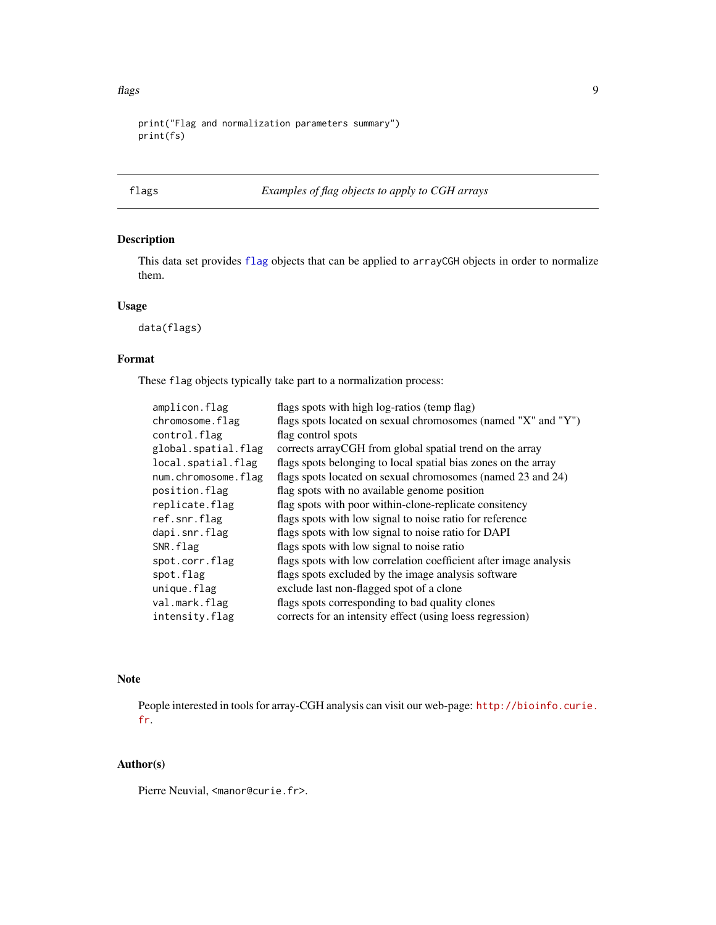#### <span id="page-8-0"></span>flags 9

```
print("Flag and normalization parameters summary")
print(fs)
```
# <span id="page-8-1"></span>flags *Examples of flag objects to apply to CGH arrays*

# Description

This data set provides [flag](#page-5-1) objects that can be applied to arrayCGH objects in order to normalize them.

# Usage

data(flags)

# Format

These flag objects typically take part to a normalization process:

| amplicon.flag       | flags spots with high log-ratios (temp flag)                      |
|---------------------|-------------------------------------------------------------------|
| chromosome.flag     | flags spots located on sexual chromosomes (named "X" and "Y")     |
| control.flag        | flag control spots                                                |
| global.spatial.flag | corrects array CGH from global spatial trend on the array         |
| local.spatial.flag  | flags spots belonging to local spatial bias zones on the array    |
| num.chromosome.flag | flags spots located on sexual chromosomes (named 23 and 24)       |
| position.flag       | flag spots with no available genome position                      |
| replicate.flag      | flag spots with poor within-clone-replicate consitency            |
| ref.snr.flag        | flags spots with low signal to noise ratio for reference          |
| dapi.snr.flag       | flags spots with low signal to noise ratio for DAPI               |
| SNR.flag            | flags spots with low signal to noise ratio                        |
| spot.corr.flag      | flags spots with low correlation coefficient after image analysis |
| spot.flag           | flags spots excluded by the image analysis software               |
| unique.flag         | exclude last non-flagged spot of a clone                          |
| val.mark.flag       | flags spots corresponding to bad quality clones                   |
| intensity.flag      | corrects for an intensity effect (using loess regression)         |

# Note

People interested in tools for array-CGH analysis can visit our web-page: [http://bioinfo.curie.](http://bioinfo.curie.fr) [fr](http://bioinfo.curie.fr).

# Author(s)

Pierre Neuvial, <manor@curie.fr>.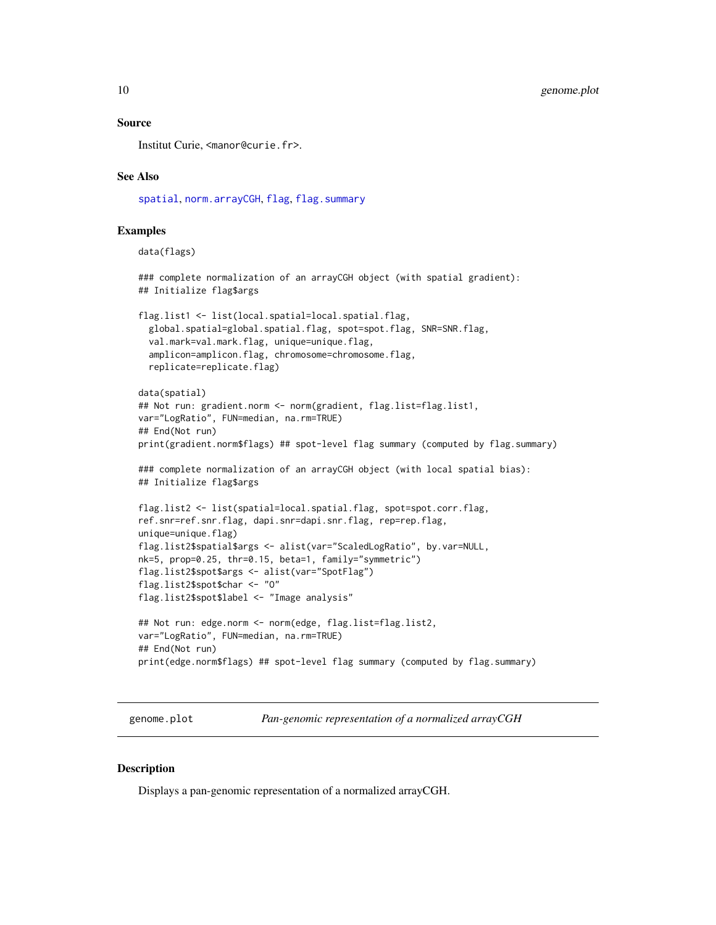#### <span id="page-9-0"></span>Source

Institut Curie, <manor@curie.fr>.

#### See Also

[spatial](#page-26-1), [norm.arrayCGH](#page-17-1), [flag](#page-5-1), [flag.summary](#page-6-1)

#### Examples

data(flags)

```
### complete normalization of an arrayCGH object (with spatial gradient):
## Initialize flag$args
```

```
flag.list1 <- list(local.spatial=local.spatial.flag,
 global.spatial=global.spatial.flag, spot=spot.flag, SNR=SNR.flag,
 val.mark=val.mark.flag, unique=unique.flag,
 amplicon=amplicon.flag, chromosome=chromosome.flag,
 replicate=replicate.flag)
```

```
data(spatial)
## Not run: gradient.norm <- norm(gradient, flag.list=flag.list1,
var="LogRatio", FUN=median, na.rm=TRUE)
## End(Not run)
print(gradient.norm$flags) ## spot-level flag summary (computed by flag.summary)
### complete normalization of an arrayCGH object (with local spatial bias):
```
## Initialize flag\$args

```
flag.list2 <- list(spatial=local.spatial.flag, spot=spot.corr.flag,
ref.snr=ref.snr.flag, dapi.snr=dapi.snr.flag, rep=rep.flag,
unique=unique.flag)
flag.list2$spatial$args <- alist(var="ScaledLogRatio", by.var=NULL,
nk=5, prop=0.25, thr=0.15, beta=1, family="symmetric")
flag.list2$spot$args <- alist(var="SpotFlag")
flag.list2$spot$char <- "O"
flag.list2$spot$label <- "Image analysis"
```

```
## Not run: edge.norm <- norm(edge, flag.list=flag.list2,
var="LogRatio", FUN=median, na.rm=TRUE)
## End(Not run)
print(edge.norm$flags) ## spot-level flag summary (computed by flag.summary)
```
<span id="page-9-1"></span>genome.plot *Pan-genomic representation of a normalized arrayCGH*

#### **Description**

Displays a pan-genomic representation of a normalized arrayCGH.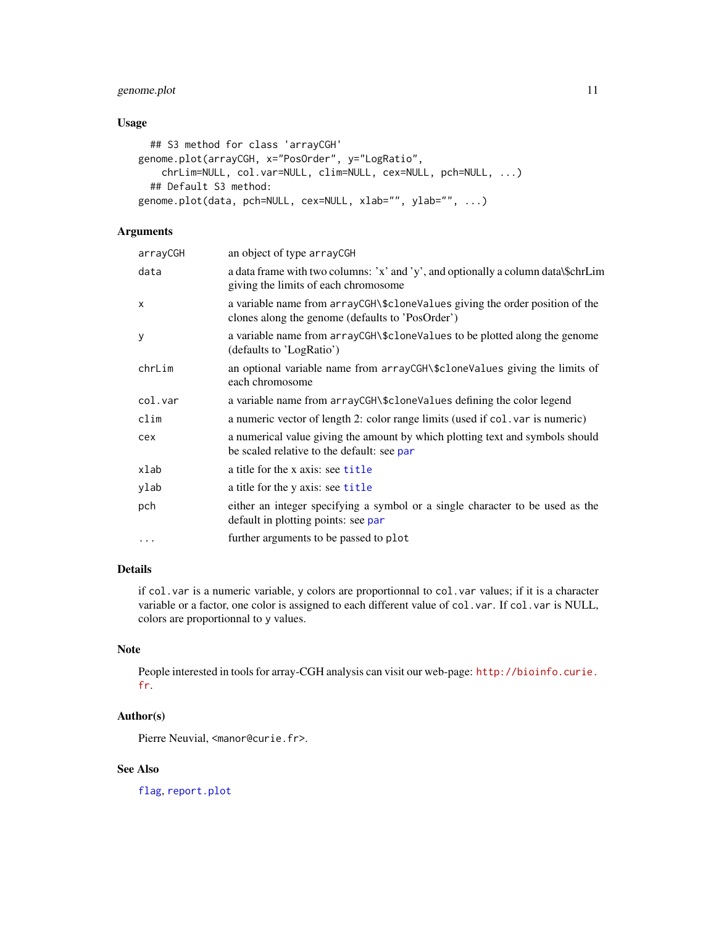# <span id="page-10-0"></span>genome.plot 11

# Usage

```
## S3 method for class 'arrayCGH'
genome.plot(arrayCGH, x="PosOrder", y="LogRatio",
    chrLim=NULL, col.var=NULL, clim=NULL, cex=NULL, pch=NULL, ...)
  ## Default S3 method:
genome.plot(data, pch=NULL, cex=NULL, xlab="", ylab="", ...)
```
# Arguments

| arrayCGH | an object of type arrayCGH                                                                                                       |
|----------|----------------------------------------------------------------------------------------------------------------------------------|
| data     | a data frame with two columns: 'x' and 'y', and optionally a column data\\$chrLim<br>giving the limits of each chromosome        |
| x        | a variable name from arrayCGH\\$cloneValues giving the order position of the<br>clones along the genome (defaults to 'PosOrder') |
| y        | a variable name from arrayCGH\\$cloneValues to be plotted along the genome<br>(defaults to 'LogRatio')                           |
| chrLim   | an optional variable name from arrayCGH\\$cloneValues giving the limits of<br>each chromosome                                    |
| col.var  | a variable name from arrayCGH\\$cloneValues defining the color legend                                                            |
| clim     | a numeric vector of length 2: color range limits (used if col. var is numeric)                                                   |
| cex      | a numerical value giving the amount by which plotting text and symbols should<br>be scaled relative to the default: see par      |
| xlab     | a title for the x axis: see title                                                                                                |
| ylab     | a title for the y axis: see title                                                                                                |
| pch      | either an integer specifying a symbol or a single character to be used as the<br>default in plotting points: see par             |
| $\cdots$ | further arguments to be passed to plot                                                                                           |
|          |                                                                                                                                  |

# Details

if col.var is a numeric variable, y colors are proportionnal to col.var values; if it is a character variable or a factor, one color is assigned to each different value of col.var. If col.var is NULL, colors are proportionnal to y values.

# Note

People interested in tools for array-CGH analysis can visit our web-page: [http://bioinfo.curie.](http://bioinfo.curie.fr) [fr](http://bioinfo.curie.fr).

# Author(s)

Pierre Neuvial, <manor@curie.fr>.

# See Also

[flag](#page-5-1), [report.plot](#page-24-1)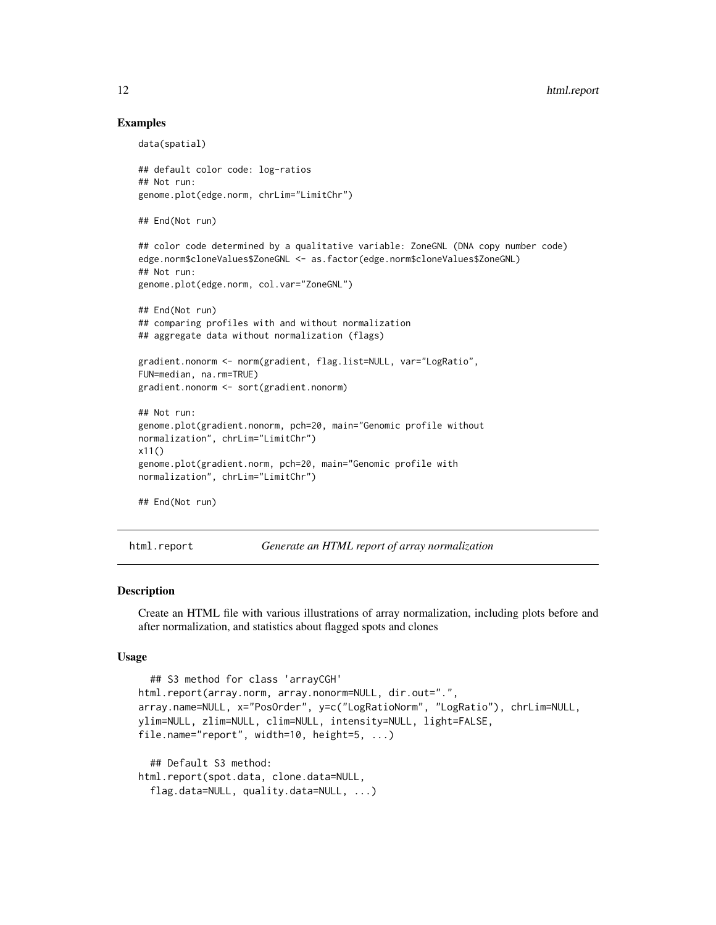#### Examples

```
data(spatial)
## default color code: log-ratios
## Not run:
genome.plot(edge.norm, chrLim="LimitChr")
## End(Not run)
## color code determined by a qualitative variable: ZoneGNL (DNA copy number code)
edge.norm$cloneValues$ZoneGNL <- as.factor(edge.norm$cloneValues$ZoneGNL)
## Not run:
genome.plot(edge.norm, col.var="ZoneGNL")
## End(Not run)
## comparing profiles with and without normalization
## aggregate data without normalization (flags)
gradient.nonorm <- norm(gradient, flag.list=NULL, var="LogRatio",
FUN=median, na.rm=TRUE)
gradient.nonorm <- sort(gradient.nonorm)
## Not run:
genome.plot(gradient.nonorm, pch=20, main="Genomic profile without
normalization", chrLim="LimitChr")
x11()
genome.plot(gradient.norm, pch=20, main="Genomic profile with
normalization", chrLim="LimitChr")
## End(Not run)
```
<span id="page-11-1"></span>html.report *Generate an HTML report of array normalization*

#### Description

Create an HTML file with various illustrations of array normalization, including plots before and after normalization, and statistics about flagged spots and clones

#### Usage

```
## S3 method for class 'arrayCGH'
html.report(array.norm, array.nonorm=NULL, dir.out=".",
array.name=NULL, x="PosOrder", y=c("LogRatioNorm", "LogRatio"), chrLim=NULL,
ylim=NULL, zlim=NULL, clim=NULL, intensity=NULL, light=FALSE,
file.name="report", width=10, height=5, ...)
  ## Default S3 method:
html.report(spot.data, clone.data=NULL,
  flag.data=NULL, quality.data=NULL, ...)
```
<span id="page-11-0"></span>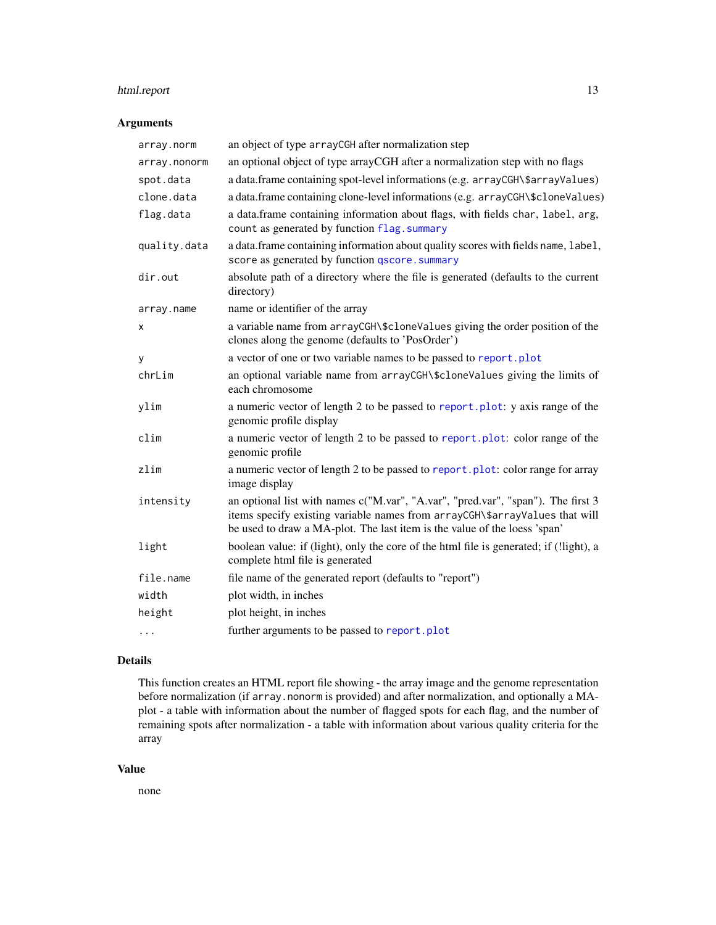# <span id="page-12-0"></span>html.report 13

# Arguments

| array.norm   | an object of type arrayCGH after normalization step                                                                                                                                                                                          |
|--------------|----------------------------------------------------------------------------------------------------------------------------------------------------------------------------------------------------------------------------------------------|
| array.nonorm | an optional object of type arrayCGH after a normalization step with no flags                                                                                                                                                                 |
| spot.data    | a data.frame containing spot-level informations (e.g. arrayCGH\\$arrayValues)                                                                                                                                                                |
| clone.data   | a data.frame containing clone-level informations (e.g. arrayCGH\\$cloneValues)                                                                                                                                                               |
| flag.data    | a data.frame containing information about flags, with fields char, label, arg,<br>count as generated by function flag. summary                                                                                                               |
| quality.data | a data.frame containing information about quality scores with fields name, label,<br>score as generated by function qscore.summary                                                                                                           |
| dir.out      | absolute path of a directory where the file is generated (defaults to the current<br>directory)                                                                                                                                              |
| array.name   | name or identifier of the array                                                                                                                                                                                                              |
| x            | a variable name from arrayCGH\\$cloneValues giving the order position of the<br>clones along the genome (defaults to 'PosOrder')                                                                                                             |
| у            | a vector of one or two variable names to be passed to report.plot                                                                                                                                                                            |
| chrLim       | an optional variable name from arrayCGH\\$cloneValues giving the limits of<br>each chromosome                                                                                                                                                |
| ylim         | a numeric vector of length 2 to be passed to report. plot: y axis range of the<br>genomic profile display                                                                                                                                    |
| clim         | a numeric vector of length 2 to be passed to report. plot: color range of the<br>genomic profile                                                                                                                                             |
| zlim         | a numeric vector of length 2 to be passed to report.plot: color range for array<br>image display                                                                                                                                             |
| intensity    | an optional list with names c("M.var", "A.var", "pred.var", "span"). The first 3<br>items specify existing variable names from arrayCGH\\$arrayValues that will<br>be used to draw a MA-plot. The last item is the value of the loess 'span' |
| light        | boolean value: if (light), only the core of the html file is generated; if (!light), a<br>complete html file is generated                                                                                                                    |
| file.name    | file name of the generated report (defaults to "report")                                                                                                                                                                                     |
| width        | plot width, in inches                                                                                                                                                                                                                        |
| height       | plot height, in inches                                                                                                                                                                                                                       |
| $\cdots$     | further arguments to be passed to report.plot                                                                                                                                                                                                |

#### Details

This function creates an HTML report file showing - the array image and the genome representation before normalization (if array.nonorm is provided) and after normalization, and optionally a MAplot - a table with information about the number of flagged spots for each flag, and the number of remaining spots after normalization - a table with information about various quality criteria for the array

#### Value

none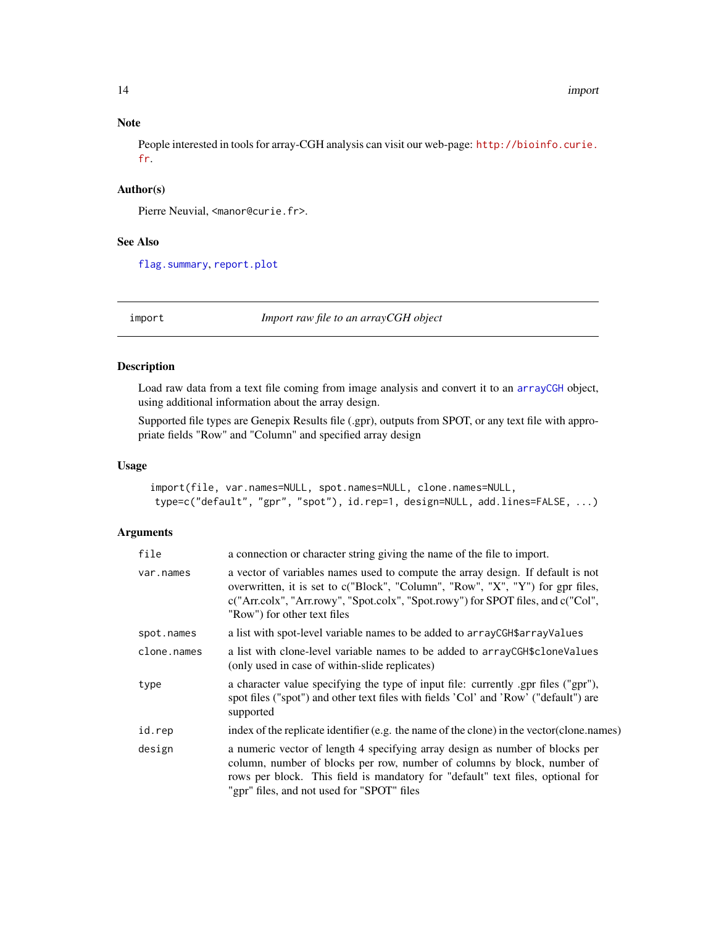#### Note

People interested in tools for array-CGH analysis can visit our web-page: [http://bioinfo.curie.](http://bioinfo.curie.fr) [fr](http://bioinfo.curie.fr).

# Author(s)

Pierre Neuvial, <manor@curie.fr>.

#### See Also

[flag.summary](#page-6-1), [report.plot](#page-24-1)

<span id="page-13-1"></span>

import *Import raw file to an arrayCGH object*

# Description

Load raw data from a text file coming from image analysis and convert it to an [arrayCGH](#page-0-0) object, using additional information about the array design.

Supported file types are Genepix Results file (.gpr), outputs from SPOT, or any text file with appropriate fields "Row" and "Column" and specified array design

#### Usage

```
import(file, var.names=NULL, spot.names=NULL, clone.names=NULL,
type=c("default", "gpr", "spot"), id.rep=1, design=NULL, add.lines=FALSE, ...)
```
# Arguments

| file        | a connection or character string giving the name of the file to import.                                                                                                                                                                                                                 |
|-------------|-----------------------------------------------------------------------------------------------------------------------------------------------------------------------------------------------------------------------------------------------------------------------------------------|
| var.names   | a vector of variables names used to compute the array design. If default is not<br>overwritten, it is set to c("Block", "Column", "Row", "X", "Y") for gpr files,<br>c("Arr.colx", "Arr.rowy", "Spot.colx", "Spot.rowy") for SPOT files, and c("Col",<br>"Row") for other text files    |
| spot.names  | a list with spot-level variable names to be added to arrayCGH\$arrayValues                                                                                                                                                                                                              |
| clone.names | a list with clone-level variable names to be added to array CGH\$ clone Values<br>(only used in case of within-slide replicates)                                                                                                                                                        |
| type        | a character value specifying the type of input file: currently .gpr files ("gpr"),<br>spot files ("spot") and other text files with fields 'Col' and 'Row' ("default") are<br>supported                                                                                                 |
| id.rep      | index of the replicate identifier (e.g. the name of the clone) in the vector (clone names)                                                                                                                                                                                              |
| design      | a numeric vector of length 4 specifying array design as number of blocks per<br>column, number of blocks per row, number of columns by block, number of<br>rows per block. This field is mandatory for "default" text files, optional for<br>"gpr" files, and not used for "SPOT" files |

<span id="page-13-0"></span>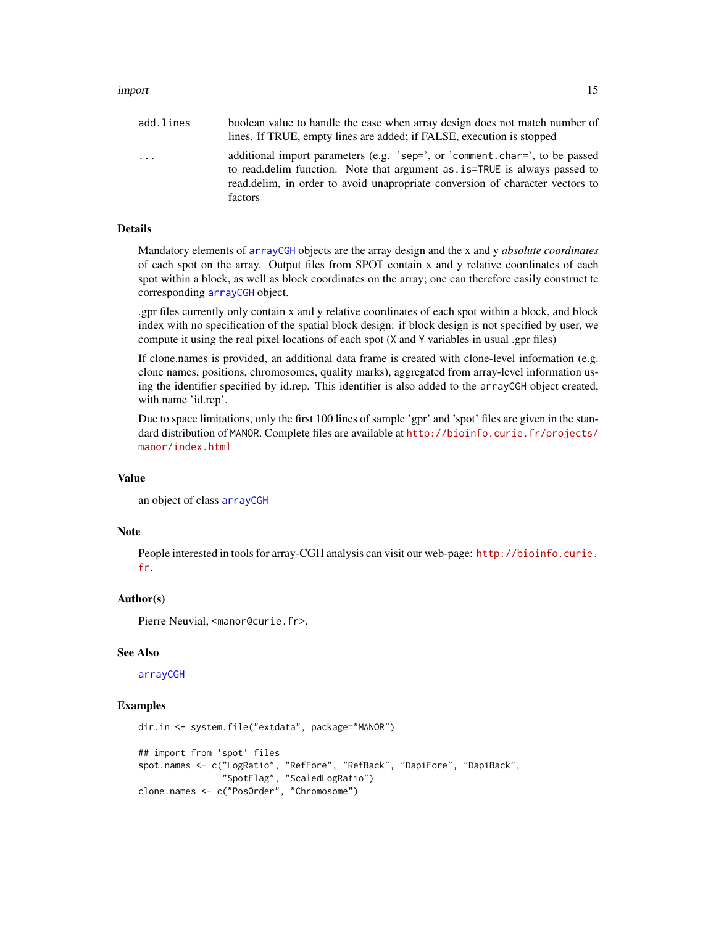#### import that the contract of the contract of the contract of the contract of the contract of the contract of the contract of the contract of the contract of the contract of the contract of the contract of the contract of th

| add.lines | boolean value to handle the case when array design does not match number of<br>lines. If TRUE, empty lines are added; if FALSE, execution is stopped                                                                                                      |
|-----------|-----------------------------------------------------------------------------------------------------------------------------------------------------------------------------------------------------------------------------------------------------------|
| .         | additional import parameters (e.g. 'sep=', or 'comment.char=', to be passed<br>to read, delim function. Note that argument as . is = TRUE is always passed to<br>read.delim, in order to avoid unapropriate conversion of character vectors to<br>factors |

#### Details

Mandatory elements of [arrayCGH](#page-0-0) objects are the array design and the x and y *absolute coordinates* of each spot on the array. Output files from SPOT contain x and y relative coordinates of each spot within a block, as well as block coordinates on the array; one can therefore easily construct te corresponding [arrayCGH](#page-0-0) object.

.gpr files currently only contain x and y relative coordinates of each spot within a block, and block index with no specification of the spatial block design: if block design is not specified by user, we compute it using the real pixel locations of each spot (X and Y variables in usual .gpr files)

If clone.names is provided, an additional data frame is created with clone-level information (e.g. clone names, positions, chromosomes, quality marks), aggregated from array-level information using the identifier specified by id.rep. This identifier is also added to the arrayCGH object created, with name 'id.rep'.

Due to space limitations, only the first 100 lines of sample 'gpr' and 'spot' files are given in the standard distribution of MANOR. Complete files are available at [http://bioinfo.curie.fr/projects/](http://bioinfo.curie.fr/projects/manor/index.html) [manor/index.html](http://bioinfo.curie.fr/projects/manor/index.html)

#### Value

an object of class [arrayCGH](#page-0-0)

#### **Note**

People interested in tools for array-CGH analysis can visit our web-page: [http://bioinfo.curie.](http://bioinfo.curie.fr) [fr](http://bioinfo.curie.fr).

#### Author(s)

Pierre Neuvial, <manor@curie.fr>.

#### See Also

#### [arrayCGH](#page-0-0)

#### Examples

```
dir.in <- system.file("extdata", package="MANOR")
## import from 'spot' files
spot.names <- c("LogRatio", "RefFore", "RefBack", "DapiFore", "DapiBack",
                "SpotFlag", "ScaledLogRatio")
clone.names <- c("PosOrder", "Chromosome")
```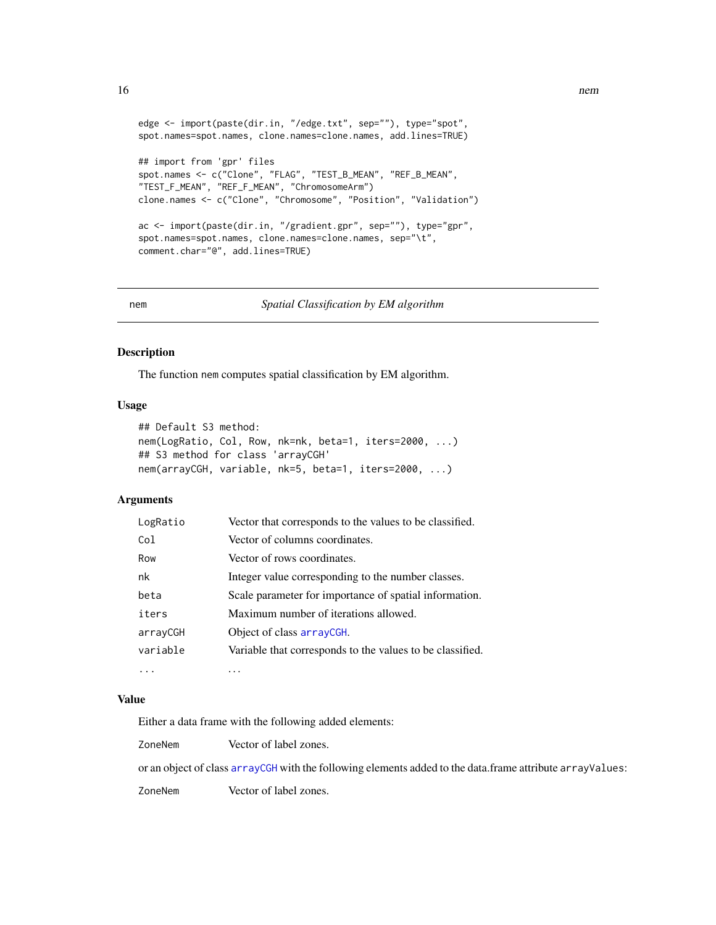```
edge <- import(paste(dir.in, "/edge.txt", sep=""), type="spot",
spot.names=spot.names, clone.names=clone.names, add.lines=TRUE)
## import from 'gpr' files
spot.names <- c("Clone", "FLAG", "TEST_B_MEAN", "REF_B_MEAN",
"TEST_F_MEAN", "REF_F_MEAN", "ChromosomeArm")
clone.names <- c("Clone", "Chromosome", "Position", "Validation")
ac <- import(paste(dir.in, "/gradient.gpr", sep=""), type="gpr",
spot.names=spot.names, clone.names=clone.names, sep="\t",
comment.char="@", add.lines=TRUE)
```

```
nem Spatial Classification by EM algorithm
```
# Description

The function nem computes spatial classification by EM algorithm.

# Usage

```
## Default S3 method:
nem(LogRatio, Col, Row, nk=nk, beta=1, iters=2000, ...)
## S3 method for class 'arrayCGH'
nem(arrayCGH, variable, nk=5, beta=1, iters=2000, ...)
```
# Arguments

| LogRatio        | Vector that corresponds to the values to be classified.   |
|-----------------|-----------------------------------------------------------|
| Co <sub>1</sub> | Vector of columns coordinates.                            |
| Row             | Vector of rows coordinates.                               |
| nk              | Integer value corresponding to the number classes.        |
| beta            | Scale parameter for importance of spatial information.    |
| iters           | Maximum number of iterations allowed.                     |
| arrayCGH        | Object of class arrayCGH.                                 |
| variable        | Variable that corresponds to the values to be classified. |
| .               | .                                                         |

## Value

Either a data frame with the following added elements:

ZoneNem Vector of label zones.

or an object of class [arrayCGH](#page-0-0) with the following elements added to the data.frame attribute arrayValues:

ZoneNem Vector of label zones.

<span id="page-15-0"></span>16 nem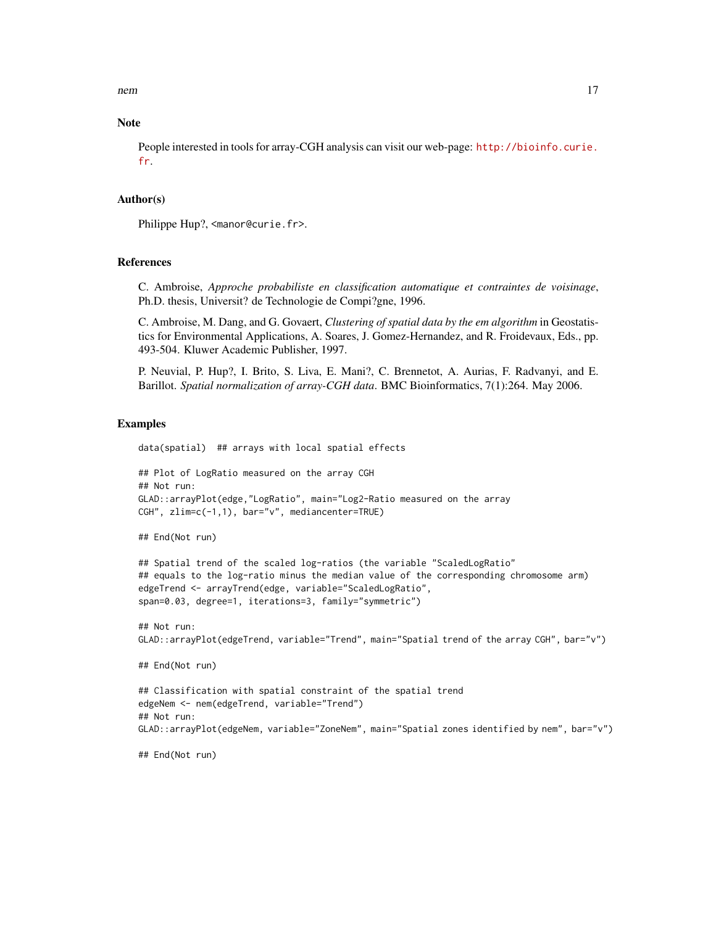nem and the state of the state of the state of the state of the state of the state of the state of the state of the state of the state of the state of the state of the state of the state of the state of the state of the st

#### **Note**

People interested in tools for array-CGH analysis can visit our web-page: [http://bioinfo.curie.](http://bioinfo.curie.fr) [fr](http://bioinfo.curie.fr).

#### Author(s)

Philippe Hup?, <manor@curie.fr>.

# References

C. Ambroise, *Approche probabiliste en classification automatique et contraintes de voisinage*, Ph.D. thesis, Universit? de Technologie de Compi?gne, 1996.

C. Ambroise, M. Dang, and G. Govaert, *Clustering of spatial data by the em algorithm* in Geostatistics for Environmental Applications, A. Soares, J. Gomez-Hernandez, and R. Froidevaux, Eds., pp. 493-504. Kluwer Academic Publisher, 1997.

P. Neuvial, P. Hup?, I. Brito, S. Liva, E. Mani?, C. Brennetot, A. Aurias, F. Radvanyi, and E. Barillot. *Spatial normalization of array-CGH data*. BMC Bioinformatics, 7(1):264. May 2006.

# Examples

data(spatial) ## arrays with local spatial effects

```
## Plot of LogRatio measured on the array CGH
## Not run:
GLAD::arrayPlot(edge,"LogRatio", main="Log2-Ratio measured on the array
CGH", zlim=c(-1,1), bar="v", mediancenter=TRUE)
```
## End(Not run)

```
## Spatial trend of the scaled log-ratios (the variable "ScaledLogRatio"
## equals to the log-ratio minus the median value of the corresponding chromosome arm)
edgeTrend <- arrayTrend(edge, variable="ScaledLogRatio",
span=0.03, degree=1, iterations=3, family="symmetric")
```

```
## Not run:
GLAD::arrayPlot(edgeTrend, variable="Trend", main="Spatial trend of the array CGH", bar="v")
```
## End(Not run)

```
## Classification with spatial constraint of the spatial trend
edgeNem <- nem(edgeTrend, variable="Trend")
## Not run:
GLAD::arrayPlot(edgeNem, variable="ZoneNem", main="Spatial zones identified by nem", bar="v")
```
## End(Not run)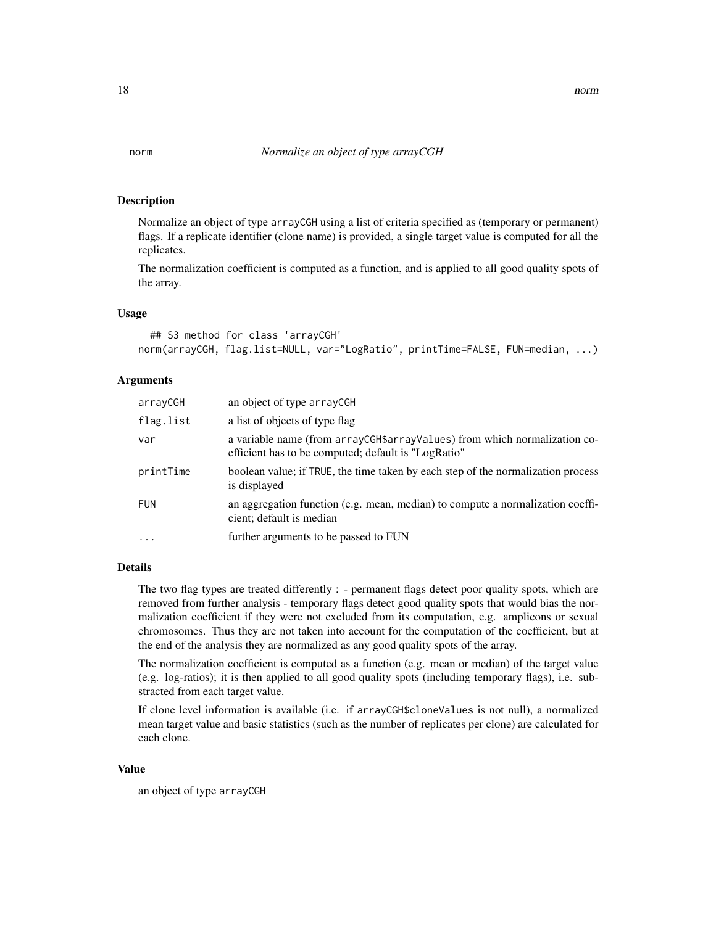#### <span id="page-17-1"></span>**Description**

Normalize an object of type arrayCGH using a list of criteria specified as (temporary or permanent) flags. If a replicate identifier (clone name) is provided, a single target value is computed for all the replicates.

The normalization coefficient is computed as a function, and is applied to all good quality spots of the array.

#### Usage

```
## S3 method for class 'arrayCGH'
norm(arrayCGH, flag.list=NULL, var="LogRatio", printTime=FALSE, FUN=median, ...)
```
# Arguments

| arrayCGH   | an object of type arrayCGH                                                                                                       |
|------------|----------------------------------------------------------------------------------------------------------------------------------|
| flag.list  | a list of objects of type flag                                                                                                   |
| var        | a variable name (from arrayCGH\$arrayValues) from which normalization co-<br>efficient has to be computed; default is "LogRatio" |
| printTime  | boolean value; if TRUE, the time taken by each step of the normalization process<br>is displayed                                 |
| <b>FUN</b> | an aggregation function (e.g. mean, median) to compute a normalization coeffi-<br>cient; default is median                       |
| $\ddotsc$  | further arguments to be passed to FUN                                                                                            |

#### Details

The two flag types are treated differently : - permanent flags detect poor quality spots, which are removed from further analysis - temporary flags detect good quality spots that would bias the normalization coefficient if they were not excluded from its computation, e.g. amplicons or sexual chromosomes. Thus they are not taken into account for the computation of the coefficient, but at the end of the analysis they are normalized as any good quality spots of the array.

The normalization coefficient is computed as a function (e.g. mean or median) of the target value (e.g. log-ratios); it is then applied to all good quality spots (including temporary flags), i.e. substracted from each target value.

If clone level information is available (i.e. if arrayCGH\$cloneValues is not null), a normalized mean target value and basic statistics (such as the number of replicates per clone) are calculated for each clone.

#### Value

an object of type arrayCGH

#### <span id="page-17-0"></span>18 norm and the contract of the contract of the contract of the contract of the contract of the contract of the contract of the contract of the contract of the contract of the contract of the contract of the contract of th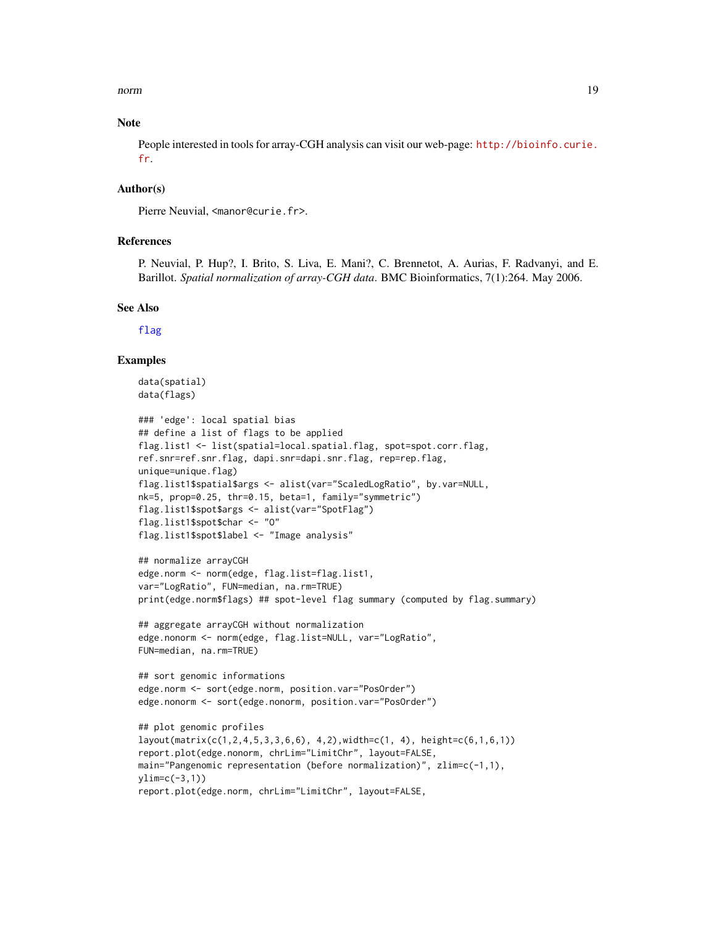<span id="page-18-0"></span>norm and the contract of the contract of the contract of the contract of the contract of the contract of the contract of the contract of the contract of the contract of the contract of the contract of the contract of the c

#### **Note**

People interested in tools for array-CGH analysis can visit our web-page: [http://bioinfo.curie.](http://bioinfo.curie.fr) [fr](http://bioinfo.curie.fr).

## Author(s)

Pierre Neuvial, <manor@curie.fr>.

### References

P. Neuvial, P. Hup?, I. Brito, S. Liva, E. Mani?, C. Brennetot, A. Aurias, F. Radvanyi, and E. Barillot. *Spatial normalization of array-CGH data*. BMC Bioinformatics, 7(1):264. May 2006.

#### See Also

[flag](#page-5-1)

#### Examples

```
data(spatial)
data(flags)
```

```
### 'edge': local spatial bias
## define a list of flags to be applied
flag.list1 <- list(spatial=local.spatial.flag, spot=spot.corr.flag,
ref.snr=ref.snr.flag, dapi.snr=dapi.snr.flag, rep=rep.flag,
unique=unique.flag)
flag.list1$spatial$args <- alist(var="ScaledLogRatio", by.var=NULL,
nk=5, prop=0.25, thr=0.15, beta=1, family="symmetric")
flag.list1$spot$args <- alist(var="SpotFlag")
flag.list1$spot$char <- "O"
flag.list1$spot$label <- "Image analysis"
```

```
## normalize arrayCGH
edge.norm <- norm(edge, flag.list=flag.list1,
var="LogRatio", FUN=median, na.rm=TRUE)
print(edge.norm$flags) ## spot-level flag summary (computed by flag.summary)
```

```
## aggregate arrayCGH without normalization
edge.nonorm <- norm(edge, flag.list=NULL, var="LogRatio",
FUN=median, na.rm=TRUE)
```

```
## sort genomic informations
edge.norm <- sort(edge.norm, position.var="PosOrder")
edge.nonorm <- sort(edge.nonorm, position.var="PosOrder")
```

```
## plot genomic profiles
layout(matrix(c(1,2,4,5,3,3,6,6), 4,2),width=c(1, 4), height=c(6,1,6,1))
report.plot(edge.nonorm, chrLim="LimitChr", layout=FALSE,
main="Pangenomic representation (before normalization)", zlim=c(-1,1),
ylim=c(-3,1))report.plot(edge.norm, chrLim="LimitChr", layout=FALSE,
```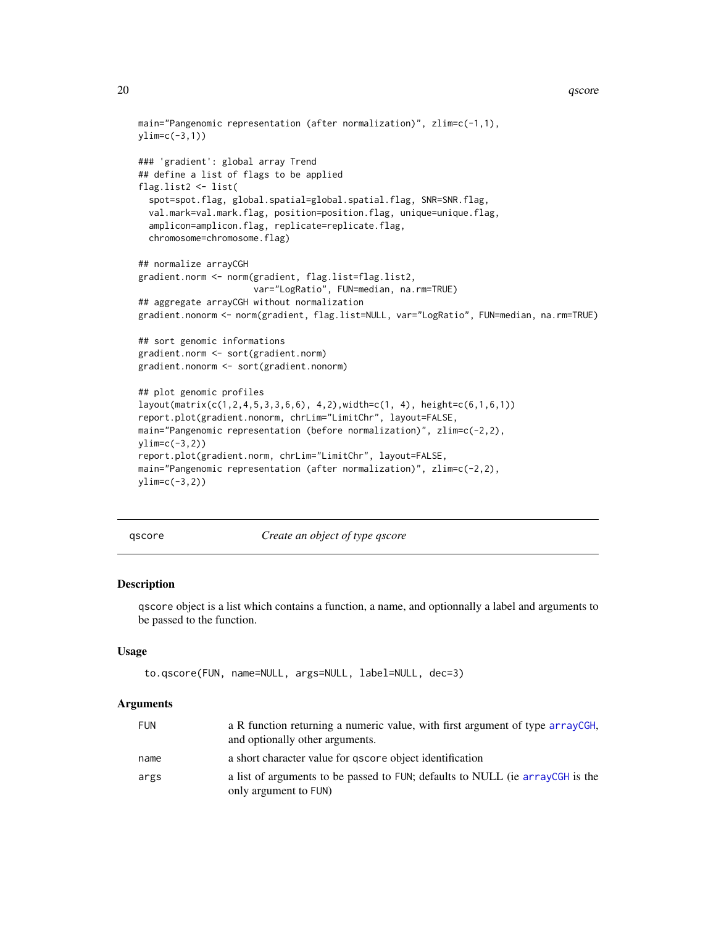```
main="Pangenomic representation (after normalization)", zlim=c(-1,1),
ylim=c(-3,1))
### 'gradient': global array Trend
## define a list of flags to be applied
flag.list2 <- list(
  spot=spot.flag, global.spatial=global.spatial.flag, SNR=SNR.flag,
  val.mark=val.mark.flag, position=position.flag, unique=unique.flag,
  amplicon=amplicon.flag, replicate=replicate.flag,
  chromosome=chromosome.flag)
## normalize arrayCGH
gradient.norm <- norm(gradient, flag.list=flag.list2,
                      var="LogRatio", FUN=median, na.rm=TRUE)
## aggregate arrayCGH without normalization
gradient.nonorm <- norm(gradient, flag.list=NULL, var="LogRatio", FUN=median, na.rm=TRUE)
## sort genomic informations
gradient.norm <- sort(gradient.norm)
gradient.nonorm <- sort(gradient.nonorm)
## plot genomic profiles
layout(matrix(c(1,2,4,5,3,3,6,6), 4,2),width=c(1, 4), height=c(6,1,6,1))
report.plot(gradient.nonorm, chrLim="LimitChr", layout=FALSE,
main="Pangenomic representation (before normalization)", zlim=c(-2,2),
ylim=c(-3,2))
report.plot(gradient.norm, chrLim="LimitChr", layout=FALSE,
main="Pangenomic representation (after normalization)", zlim=c(-2,2),
ylim=c(-3,2))
```
<span id="page-19-1"></span>

qscore *Create an object of type qscore*

# Description

qscore object is a list which contains a function, a name, and optionnally a label and arguments to be passed to the function.

#### Usage

```
to.qscore(FUN, name=NULL, args=NULL, label=NULL, dec=3)
```
#### Arguments

| <b>FUN</b> | a R function returning a numeric value, with first argument of type arrayCGH,<br>and optionally other arguments. |
|------------|------------------------------------------------------------------------------------------------------------------|
| name       | a short character value for gscore object identification                                                         |
| args       | a list of arguments to be passed to FUN; defaults to NULL (ie arrayCGH is the<br>only argument to FUN)           |

<span id="page-19-0"></span>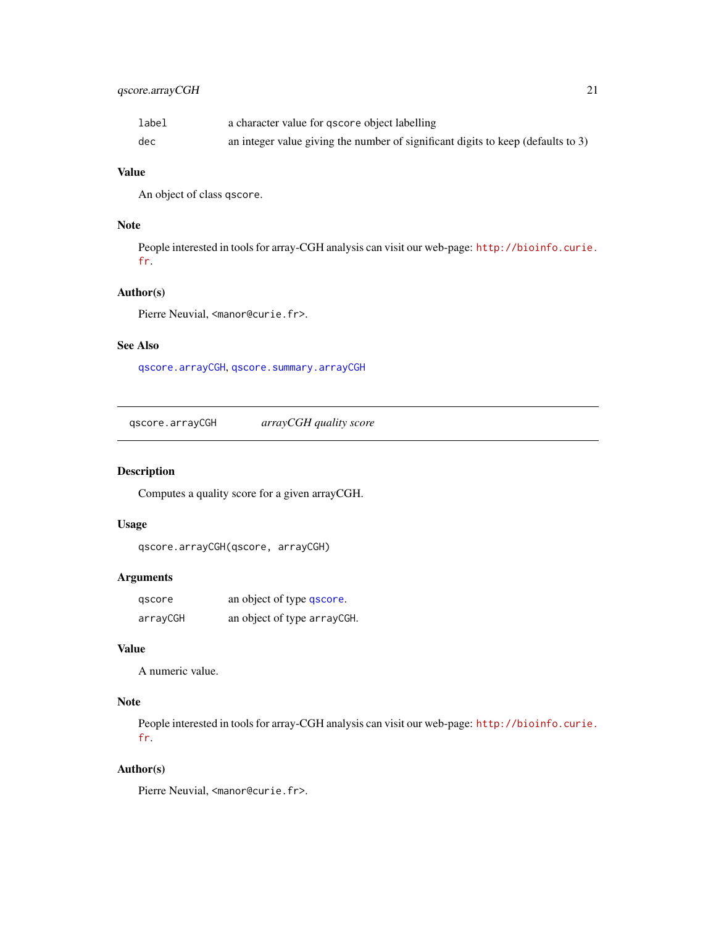# <span id="page-20-0"></span>qscore.arrayCGH 21

| label | a character value for gscore object labelling                                    |
|-------|----------------------------------------------------------------------------------|
| dec   | an integer value giving the number of significant digits to keep (defaults to 3) |

# Value

An object of class qscore.

# Note

People interested in tools for array-CGH analysis can visit our web-page: [http://bioinfo.curie.](http://bioinfo.curie.fr) [fr](http://bioinfo.curie.fr).

# Author(s)

Pierre Neuvial, <manor@curie.fr>.

# See Also

[qscore.arrayCGH](#page-20-1), [qscore.summary.arrayCGH](#page-21-2)

<span id="page-20-1"></span>qscore.arrayCGH *arrayCGH quality score*

# Description

Computes a quality score for a given arrayCGH.

### Usage

```
qscore.arrayCGH(qscore, arrayCGH)
```
# Arguments

| gscore   | an object of type qscore.   |
|----------|-----------------------------|
| arrayCGH | an object of type arrayCGH. |

# Value

A numeric value.

# Note

People interested in tools for array-CGH analysis can visit our web-page: [http://bioinfo.curie.](http://bioinfo.curie.fr) [fr](http://bioinfo.curie.fr).

# Author(s)

Pierre Neuvial, <manor@curie.fr>.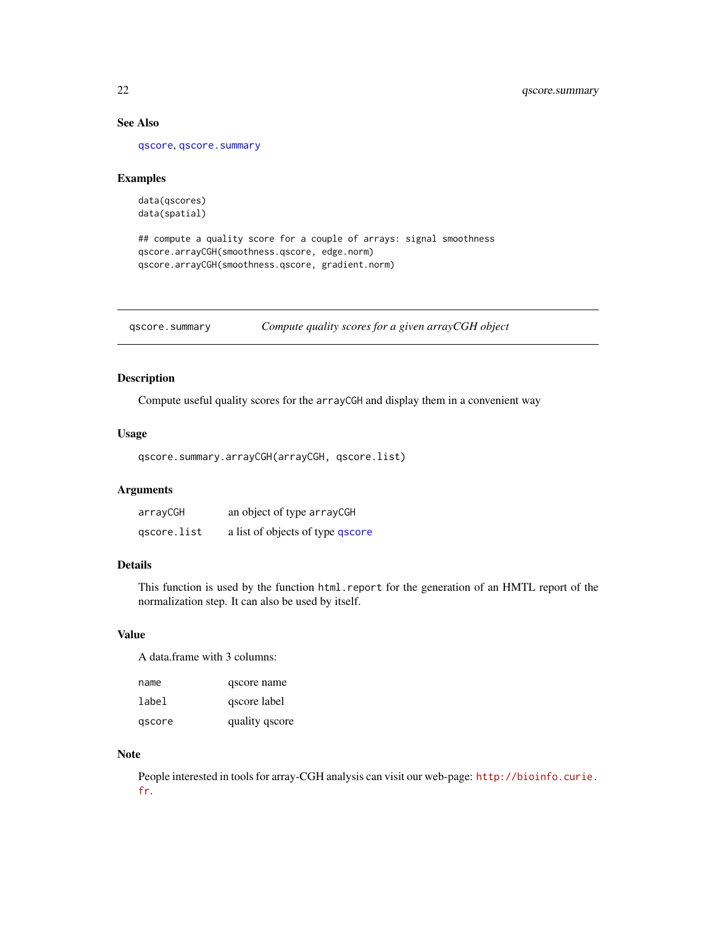# See Also

[qscore](#page-19-1), [qscore.summary](#page-21-1)

#### Examples

data(qscores) data(spatial)

## compute a quality score for a couple of arrays: signal smoothness qscore.arrayCGH(smoothness.qscore, edge.norm) qscore.arrayCGH(smoothness.qscore, gradient.norm)

<span id="page-21-1"></span>qscore.summary *Compute quality scores for a given arrayCGH object*

# <span id="page-21-2"></span>Description

Compute useful quality scores for the arrayCGH and display them in a convenient way

#### Usage

```
qscore.summary.arrayCGH(arrayCGH, qscore.list)
```
# Arguments

| arrayCGH    | an object of type arrayCGH       |
|-------------|----------------------------------|
| gscore.list | a list of objects of type qscore |

#### Details

This function is used by the function html.report for the generation of an HMTL report of the normalization step. It can also be used by itself.

#### Value

A data.frame with 3 columns:

| name   | qscore name    |
|--------|----------------|
| label  | qscore label   |
| gscore | quality qscore |

# Note

People interested in tools for array-CGH analysis can visit our web-page: [http://bioinfo.curie.](http://bioinfo.curie.fr) [fr](http://bioinfo.curie.fr).

<span id="page-21-0"></span>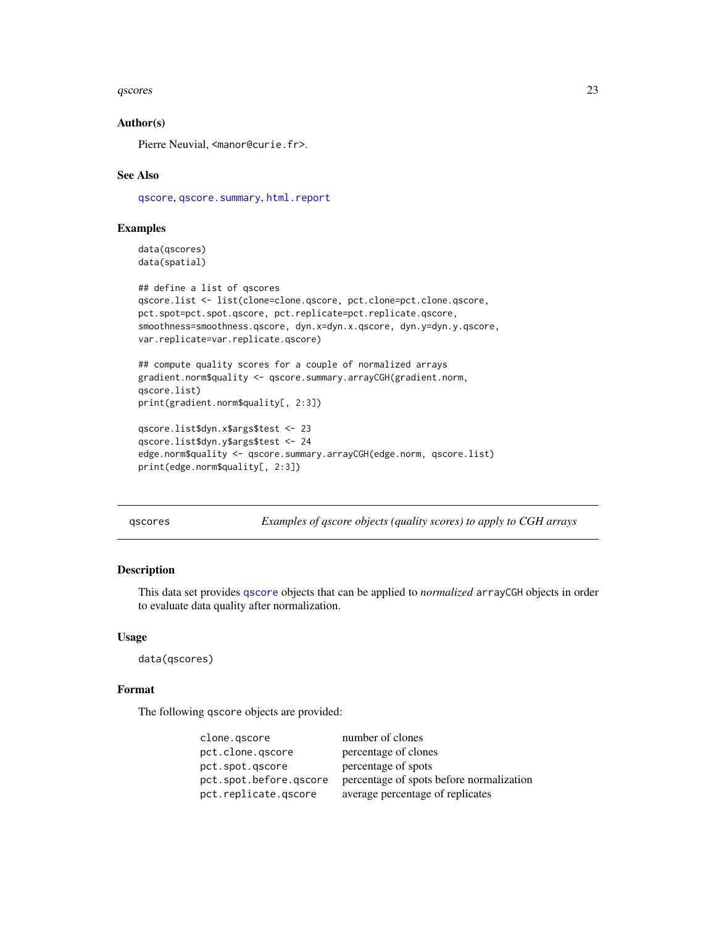#### <span id="page-22-0"></span>qscores 23

### Author(s)

Pierre Neuvial, <manor@curie.fr>.

# See Also

[qscore](#page-19-1), [qscore.summary](#page-21-1), [html.report](#page-11-1)

#### Examples

data(qscores) data(spatial)

```
## define a list of qscores
qscore.list <- list(clone=clone.qscore, pct.clone=pct.clone.qscore,
pct.spot=pct.spot.qscore, pct.replicate=pct.replicate.qscore,
smoothness=smoothness.qscore, dyn.x=dyn.x.qscore, dyn.y=dyn.y.qscore,
var.replicate=var.replicate.qscore)
```

```
## compute quality scores for a couple of normalized arrays
gradient.norm$quality <- qscore.summary.arrayCGH(gradient.norm,
qscore.list)
print(gradient.norm$quality[, 2:3])
```

```
qscore.list$dyn.x$args$test <- 23
qscore.list$dyn.y$args$test <- 24
edge.norm$quality <- qscore.summary.arrayCGH(edge.norm, qscore.list)
print(edge.norm$quality[, 2:3])
```
qscores *Examples of qscore objects (quality scores) to apply to CGH arrays*

#### Description

This data set provides [qscore](#page-19-1) objects that can be applied to *normalized* arrayCGH objects in order to evaluate data quality after normalization.

#### Usage

data(qscores)

#### Format

The following qscore objects are provided:

| clone.gscore           | number of clones                         |
|------------------------|------------------------------------------|
| pct.clone.gscore       | percentage of clones                     |
| pct.spot.gscore        | percentage of spots                      |
| pct.spot.before.gscore | percentage of spots before normalization |
| pct.replicate.gscore   | average percentage of replicates         |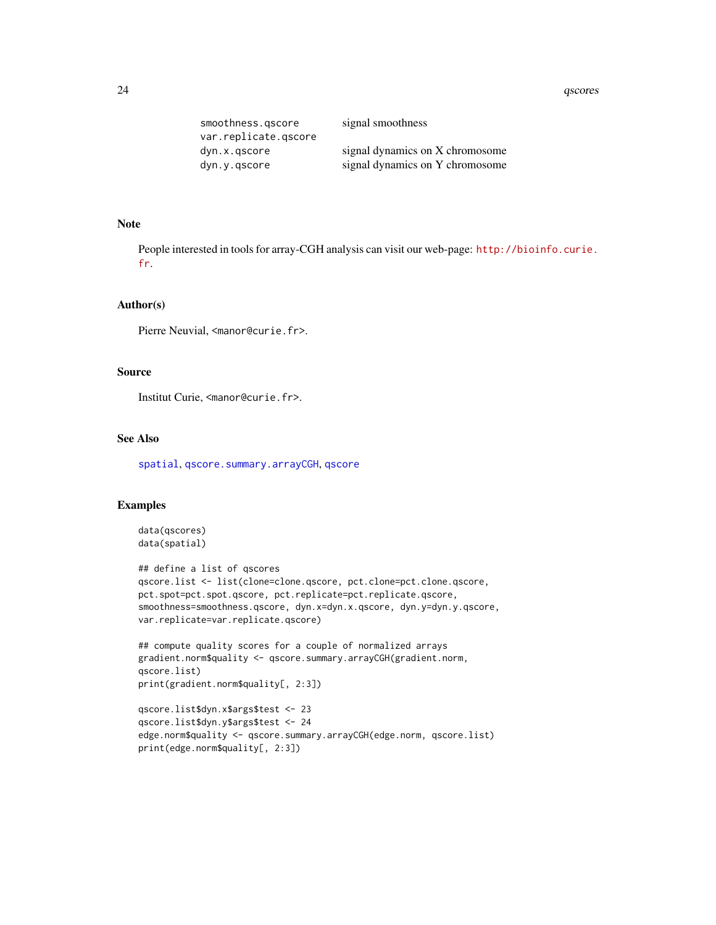#### <span id="page-23-0"></span>24 qscores and the contract of the contract of the contract of the contract of the contract of the contract of the contract of the contract of the contract of the contract of the contract of the contract of the contract of

| smoothness.gscore    | signal smoothness               |
|----------------------|---------------------------------|
| var.replicate.gscore |                                 |
| dyn.x.gscore         | signal dynamics on X chromosome |
| dyn.y.gscore         | signal dynamics on Y chromosome |

# Note

People interested in tools for array-CGH analysis can visit our web-page: [http://bioinfo.curie.](http://bioinfo.curie.fr) [fr](http://bioinfo.curie.fr).

#### Author(s)

Pierre Neuvial, <manor@curie.fr>.

# Source

Institut Curie, <manor@curie.fr>.

# See Also

[spatial](#page-26-1), [qscore.summary.arrayCGH](#page-21-2), [qscore](#page-19-1)

#### Examples

```
data(qscores)
data(spatial)
```

```
## define a list of qscores
qscore.list <- list(clone=clone.qscore, pct.clone=pct.clone.qscore,
pct.spot=pct.spot.qscore, pct.replicate=pct.replicate.qscore,
smoothness=smoothness.qscore, dyn.x=dyn.x.qscore, dyn.y=dyn.y.qscore,
var.replicate=var.replicate.qscore)
```

```
## compute quality scores for a couple of normalized arrays
gradient.norm$quality <- qscore.summary.arrayCGH(gradient.norm,
qscore.list)
print(gradient.norm$quality[, 2:3])
```

```
qscore.list$dyn.x$args$test <- 23
qscore.list$dyn.y$args$test <- 24
edge.norm$quality <- qscore.summary.arrayCGH(edge.norm, qscore.list)
print(edge.norm$quality[, 2:3])
```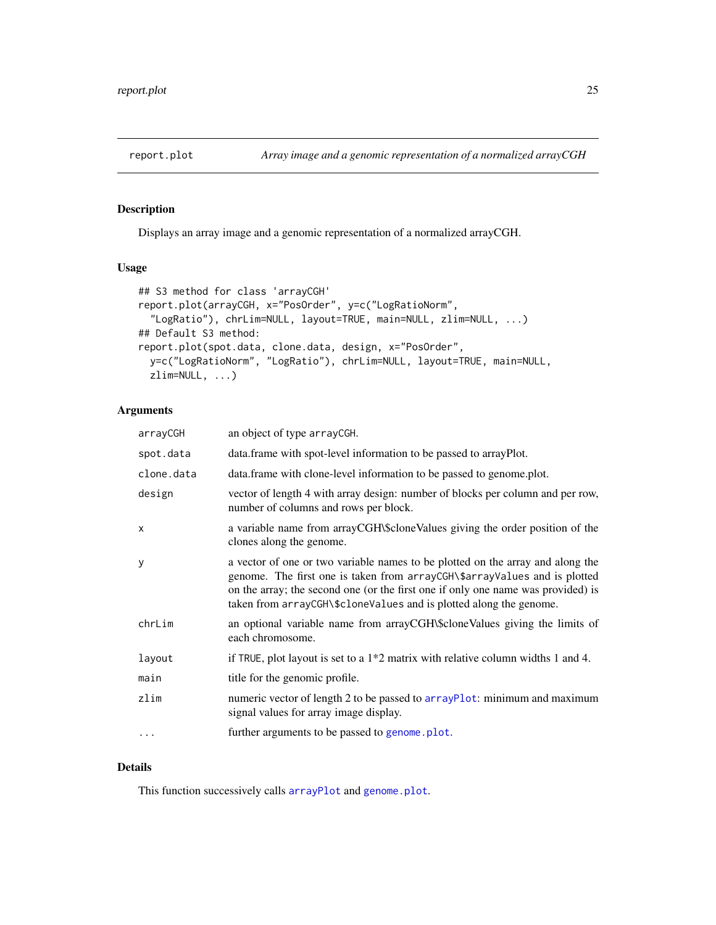<span id="page-24-1"></span><span id="page-24-0"></span>

# Description

Displays an array image and a genomic representation of a normalized arrayCGH.

#### Usage

```
## S3 method for class 'arrayCGH'
report.plot(arrayCGH, x="PosOrder", y=c("LogRatioNorm",
  "LogRatio"), chrLim=NULL, layout=TRUE, main=NULL, zlim=NULL, ...)
## Default S3 method:
report.plot(spot.data, clone.data, design, x="PosOrder",
  y=c("LogRatioNorm", "LogRatio"), chrLim=NULL, layout=TRUE, main=NULL,
 zlim=NULL, ...)
```
# Arguments

| arrayCGH   | an object of type arrayCGH.                                                                                                                                                                                                                                                                                           |
|------------|-----------------------------------------------------------------------------------------------------------------------------------------------------------------------------------------------------------------------------------------------------------------------------------------------------------------------|
| spot.data  | data.frame with spot-level information to be passed to arrayPlot.                                                                                                                                                                                                                                                     |
| clone.data | data.frame with clone-level information to be passed to genome.plot.                                                                                                                                                                                                                                                  |
| design     | vector of length 4 with array design: number of blocks per column and per row,<br>number of columns and rows per block.                                                                                                                                                                                               |
| X          | a variable name from arrayCGH\\$cloneValues giving the order position of the<br>clones along the genome.                                                                                                                                                                                                              |
| у          | a vector of one or two variable names to be plotted on the array and along the<br>genome. The first one is taken from arrayCGH\\$arrayValues and is plotted<br>on the array; the second one (or the first one if only one name was provided) is<br>taken from arrayCGH\\$cloneValues and is plotted along the genome. |
| chrLim     | an optional variable name from arrayCGH\\$cloneValues giving the limits of<br>each chromosome.                                                                                                                                                                                                                        |
| layout     | if TRUE, plot layout is set to a $1*2$ matrix with relative column widths 1 and 4.                                                                                                                                                                                                                                    |
| main       | title for the genomic profile.                                                                                                                                                                                                                                                                                        |
| zlim       | numeric vector of length 2 to be passed to arrayPlot: minimum and maximum<br>signal values for array image display.                                                                                                                                                                                                   |
| $\cdots$   | further arguments to be passed to genome. plot.                                                                                                                                                                                                                                                                       |

# Details

This function successively calls [arrayPlot](#page-0-0) and [genome.plot](#page-9-1).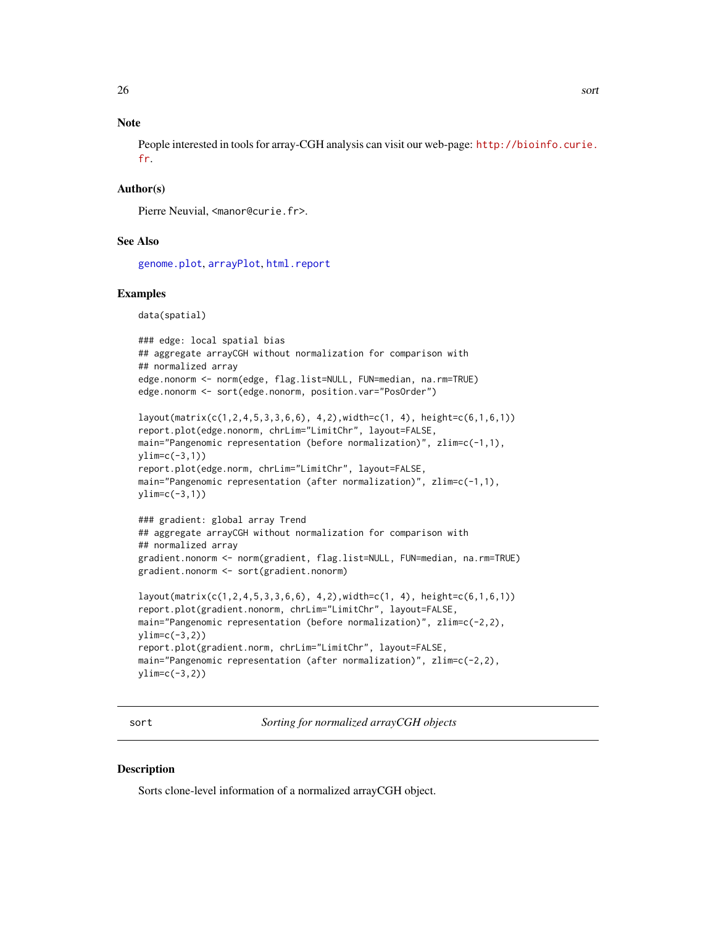# <span id="page-25-0"></span>**Note**

People interested in tools for array-CGH analysis can visit our web-page: [http://bioinfo.curie.](http://bioinfo.curie.fr) [fr](http://bioinfo.curie.fr).

## Author(s)

Pierre Neuvial, <manor@curie.fr>.

#### See Also

[genome.plot](#page-9-1), [arrayPlot](#page-0-0), [html.report](#page-11-1)

#### Examples

data(spatial)

```
### edge: local spatial bias
## aggregate arrayCGH without normalization for comparison with
## normalized array
edge.nonorm <- norm(edge, flag.list=NULL, FUN=median, na.rm=TRUE)
edge.nonorm <- sort(edge.nonorm, position.var="PosOrder")
```

```
layout(matrix(c(1,2,4,5,3,3,6,6), 4,2),width=c(1, 4), height=c(6,1,6,1))
report.plot(edge.nonorm, chrLim="LimitChr", layout=FALSE,
main="Pangenomic representation (before normalization)", zlim=c(-1,1),
ylim=c(-3,1))
report.plot(edge.norm, chrLim="LimitChr", layout=FALSE,
main="Pangenomic representation (after normalization)", zlim=c(-1,1),
ylim=c(-3,1))
```

```
### gradient: global array Trend
## aggregate arrayCGH without normalization for comparison with
## normalized array
gradient.nonorm <- norm(gradient, flag.list=NULL, FUN=median, na.rm=TRUE)
gradient.nonorm <- sort(gradient.nonorm)
```

```
layout(matrix(c(1,2,4,5,3,3,6,6), 4,2),width=c(1, 4), height=c(6,1,6,1))
report.plot(gradient.nonorm, chrLim="LimitChr", layout=FALSE,
main="Pangenomic representation (before normalization)", zlim=c(-2,2),
vlim=c(-3,2)report.plot(gradient.norm, chrLim="LimitChr", layout=FALSE,
main="Pangenomic representation (after normalization)", zlim=c(-2,2),
ylim=c(-3,2))
```
sort *Sorting for normalized arrayCGH objects*

#### **Description**

Sorts clone-level information of a normalized arrayCGH object.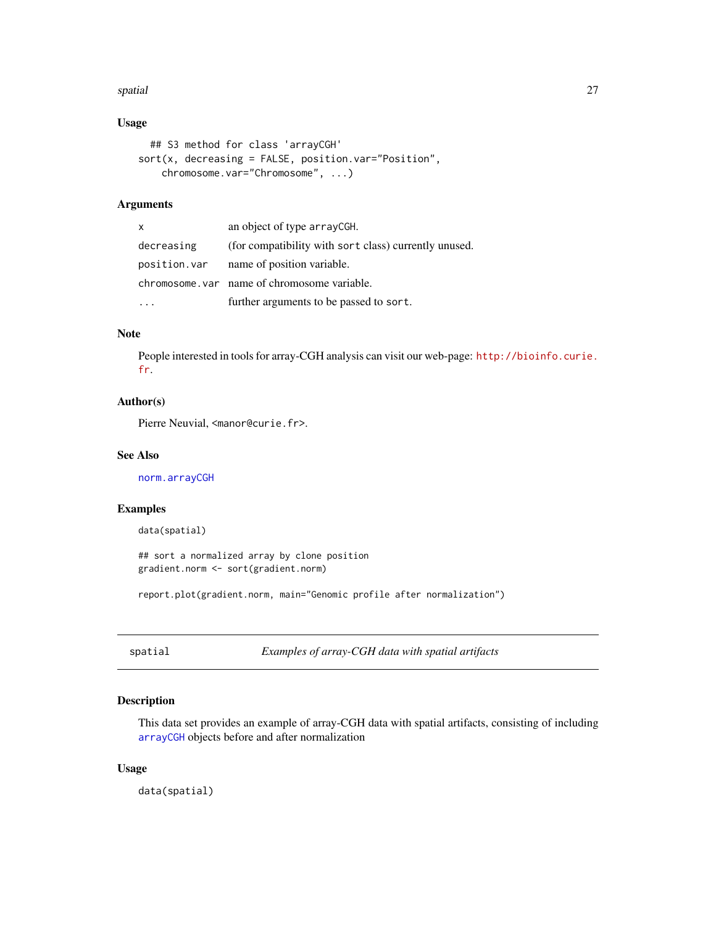#### <span id="page-26-0"></span>spatial 27

# Usage

```
## S3 method for class 'arrayCGH'
sort(x, decreasing = FALSE, position.var="Position",
   chromosome.var="Chromosome", ...)
```
# Arguments

| $\mathsf{x}$ | an object of type arrayCGH.                           |
|--------------|-------------------------------------------------------|
| decreasing   | (for compatibility with sort class) currently unused. |
| position.var | name of position variable.                            |
|              | chromosome, var name of chromosome variable.          |
|              | further arguments to be passed to sort.               |

# Note

People interested in tools for array-CGH analysis can visit our web-page: [http://bioinfo.curie.](http://bioinfo.curie.fr) [fr](http://bioinfo.curie.fr).

# Author(s)

Pierre Neuvial, <manor@curie.fr>.

#### See Also

[norm.arrayCGH](#page-17-1)

#### Examples

data(spatial)

## sort a normalized array by clone position gradient.norm <- sort(gradient.norm)

report.plot(gradient.norm, main="Genomic profile after normalization")

<span id="page-26-1"></span>spatial *Examples of array-CGH data with spatial artifacts*

# Description

This data set provides an example of array-CGH data with spatial artifacts, consisting of including [arrayCGH](#page-0-0) objects before and after normalization

#### Usage

data(spatial)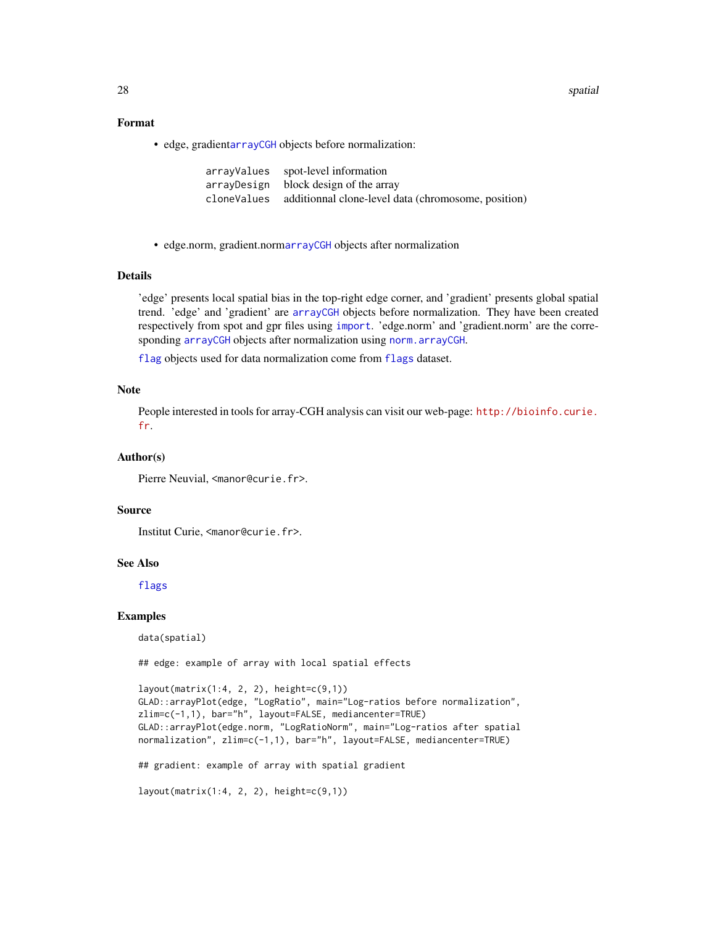<span id="page-27-0"></span>28 spatial control of the control of the control of the control of the control of the control of the control of the control of the control of the control of the control of the control of the control of the control of the c

#### Format

• edge, gradient[arrayCGH](#page-0-0) objects before normalization:

| arrayValues spot-level information                              |
|-----------------------------------------------------------------|
| array Design block design of the array                          |
| cloneValues additionnal clone-level data (chromosome, position) |

• edge.norm, gradient.norm[arrayCGH](#page-0-0) objects after normalization

# Details

'edge' presents local spatial bias in the top-right edge corner, and 'gradient' presents global spatial trend. 'edge' and 'gradient' are [arrayCGH](#page-0-0) objects before normalization. They have been created respectively from spot and gpr files using [import](#page-13-1). 'edge.norm' and 'gradient.norm' are the corresponding [arrayCGH](#page-0-0) objects after normalization using [norm.arrayCGH](#page-17-1).

[flag](#page-5-1) objects used for data normalization come from [flags](#page-8-1) dataset.

#### Note

People interested in tools for array-CGH analysis can visit our web-page: [http://bioinfo.curie.](http://bioinfo.curie.fr) [fr](http://bioinfo.curie.fr).

#### Author(s)

Pierre Neuvial, <manor@curie.fr>.

#### Source

Institut Curie, <manor@curie.fr>.

#### See Also

[flags](#page-8-1)

#### Examples

data(spatial)

## edge: example of array with local spatial effects

```
layout(matrix(1:4, 2, 2), height=c(9,1))
GLAD::arrayPlot(edge, "LogRatio", main="Log-ratios before normalization",
zlim=c(-1,1), bar="h", layout=FALSE, mediancenter=TRUE)
GLAD::arrayPlot(edge.norm, "LogRatioNorm", main="Log-ratios after spatial
normalization", zlim=c(-1,1), bar="h", layout=FALSE, mediancenter=TRUE)
## gradient: example of array with spatial gradient
```

```
layout(matrix(1:4, 2, 2), height=c(9,1))
```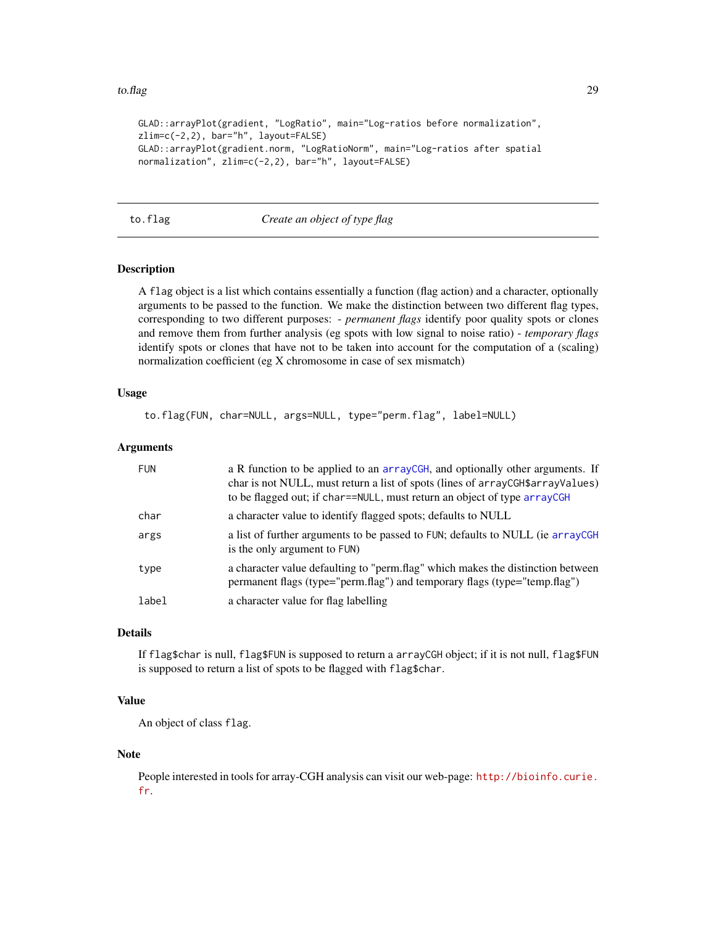#### <span id="page-28-0"></span>to.flag 29

```
GLAD::arrayPlot(gradient, "LogRatio", main="Log-ratios before normalization",
zlim=c(-2,2), bar="h", layout=FALSE)
GLAD::arrayPlot(gradient.norm, "LogRatioNorm", main="Log-ratios after spatial
normalization", zlim=c(-2,2), bar="h", layout=FALSE)
```
<span id="page-28-1"></span>to.flag *Create an object of type flag*

#### Description

A flag object is a list which contains essentially a function (flag action) and a character, optionally arguments to be passed to the function. We make the distinction between two different flag types, corresponding to two different purposes: - *permanent flags* identify poor quality spots or clones and remove them from further analysis (eg spots with low signal to noise ratio) - *temporary flags* identify spots or clones that have not to be taken into account for the computation of a (scaling) normalization coefficient (eg X chromosome in case of sex mismatch)

#### Usage

to.flag(FUN, char=NULL, args=NULL, type="perm.flag", label=NULL)

#### Arguments

| <b>FUN</b> | a R function to be applied to an arrayCGH, and optionally other arguments. If<br>char is not NULL, must return a list of spots (lines of arrayCGH\$arrayValues)<br>to be flagged out; if char==NULL, must return an object of type arrayCGH |
|------------|---------------------------------------------------------------------------------------------------------------------------------------------------------------------------------------------------------------------------------------------|
| char       | a character value to identify flagged spots; defaults to NULL                                                                                                                                                                               |
| args       | a list of further arguments to be passed to FUN; defaults to NULL (ie arrayCGH<br>is the only argument to FUN)                                                                                                                              |
| type       | a character value defaulting to "perm.flag" which makes the distinction between<br>permanent flags (type="perm.flag") and temporary flags (type="temp.flag")                                                                                |
| label      | a character value for flag labelling                                                                                                                                                                                                        |

#### Details

If flag\$char is null, flag\$FUN is supposed to return a arrayCGH object; if it is not null, flag\$FUN is supposed to return a list of spots to be flagged with flag\$char.

# Value

An object of class flag.

#### Note

People interested in tools for array-CGH analysis can visit our web-page: [http://bioinfo.curie.](http://bioinfo.curie.fr) [fr](http://bioinfo.curie.fr).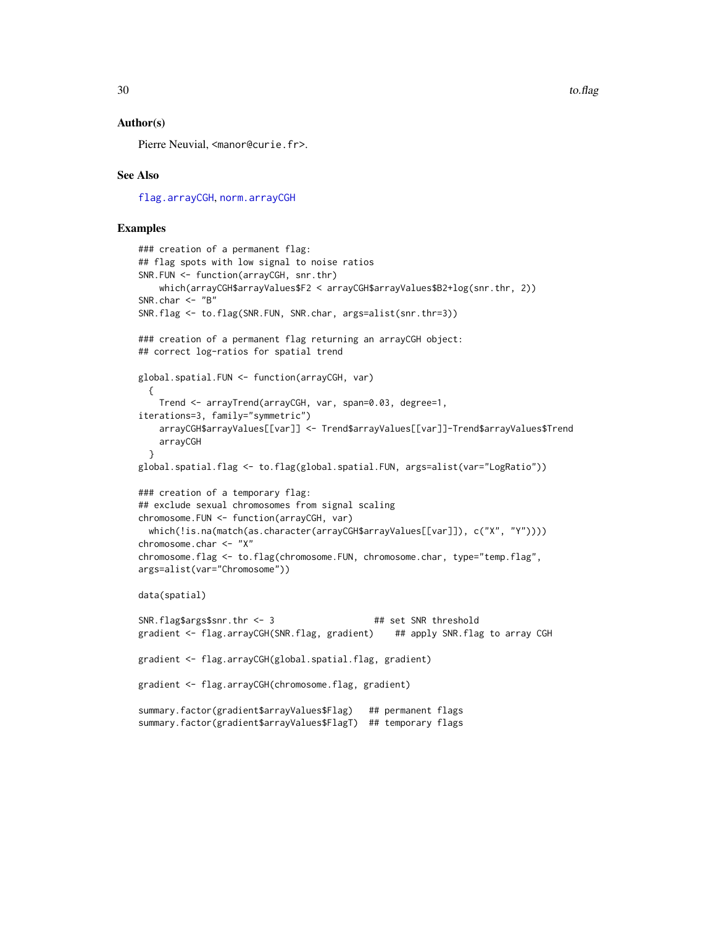#### <span id="page-29-0"></span>Author(s)

Pierre Neuvial, <manor@curie.fr>.

#### See Also

[flag.arrayCGH](#page-5-2), [norm.arrayCGH](#page-17-1)

#### Examples

```
### creation of a permanent flag:
## flag spots with low signal to noise ratios
SNR.FUN <- function(arrayCGH, snr.thr)
   which(arrayCGH$arrayValues$F2 < arrayCGH$arrayValues$B2+log(snr.thr, 2))
SNR.char <- "B"
SNR.flag <- to.flag(SNR.FUN, SNR.char, args=alist(snr.thr=3))
### creation of a permanent flag returning an arrayCGH object:
## correct log-ratios for spatial trend
global.spatial.FUN <- function(arrayCGH, var)
 {
    Trend <- arrayTrend(arrayCGH, var, span=0.03, degree=1,
iterations=3, family="symmetric")
   arrayCGH$arrayValues[[var]] <- Trend$arrayValues[[var]]-Trend$arrayValues$Trend
    arrayCGH
 }
global.spatial.flag <- to.flag(global.spatial.FUN, args=alist(var="LogRatio"))
### creation of a temporary flag:
## exclude sexual chromosomes from signal scaling
chromosome.FUN <- function(arrayCGH, var)
 which(!is.na(match(as.character(arrayCGH$arrayValues[[var]]), c("X", "Y"))))
chromosome.char <- "X"
chromosome.flag <- to.flag(chromosome.FUN, chromosome.char, type="temp.flag",
args=alist(var="Chromosome"))
data(spatial)
SNR.flag$args for . thr <- 3 ## set SNR threshold
gradient <- flag.arrayCGH(SNR.flag, gradient) ## apply SNR.flag to array CGH
gradient <- flag.arrayCGH(global.spatial.flag, gradient)
gradient <- flag.arrayCGH(chromosome.flag, gradient)
summary.factor(gradient$arrayValues$Flag) ## permanent flags
summary.factor(gradient$arrayValues$FlagT) ## temporary flags
```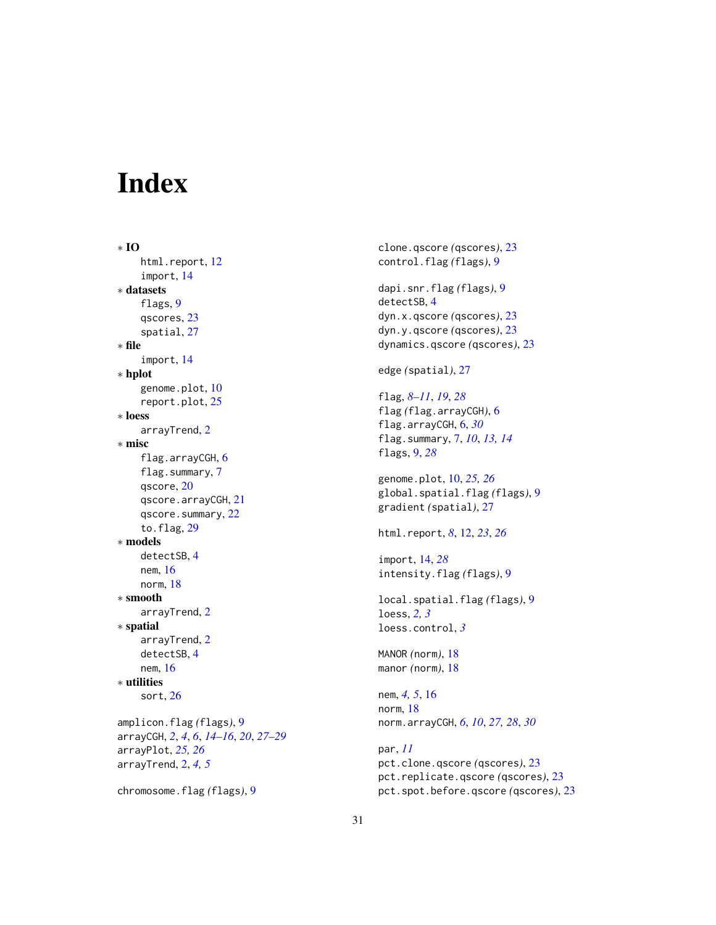# <span id="page-30-0"></span>Index

∗ IO html.report, [12](#page-11-0) import, [14](#page-13-0) ∗ datasets flags, [9](#page-8-0) qscores, [23](#page-22-0) spatial, [27](#page-26-0) ∗ file import, [14](#page-13-0) ∗ hplot genome.plot, [10](#page-9-0) report.plot, [25](#page-24-0) ∗ loess arrayTrend, [2](#page-1-0) ∗ misc flag.arrayCGH, [6](#page-5-0) flag.summary, [7](#page-6-0) qscore, [20](#page-19-0) qscore.arrayCGH, [21](#page-20-0) qscore.summary, [22](#page-21-0) to.flag, [29](#page-28-0) ∗ models detectSB, [4](#page-3-0) nem, [16](#page-15-0) norm, [18](#page-17-0) ∗ smooth arrayTrend, [2](#page-1-0) ∗ spatial arrayTrend, [2](#page-1-0) detectSB, [4](#page-3-0) nem, [16](#page-15-0) ∗ utilities sort, [26](#page-25-0) amplicon.flag *(*flags*)*, [9](#page-8-0) arrayCGH, *[2](#page-1-0)*, *[4](#page-3-0)*, *[6](#page-5-0)*, *[14](#page-13-0)[–16](#page-15-0)*, *[20](#page-19-0)*, *[27–](#page-26-0)[29](#page-28-0)* arrayPlot, *[25,](#page-24-0) [26](#page-25-0)* arrayTrend, [2,](#page-1-0) *[4,](#page-3-0) [5](#page-4-0)* chromosome.flag *(*flags*)*, [9](#page-8-0)

clone.qscore *(*qscores*)*, [23](#page-22-0) control.flag *(*flags*)*, [9](#page-8-0) dapi.snr.flag *(*flags*)*, [9](#page-8-0) detectSB, [4](#page-3-0) dyn.x.qscore *(*qscores*)*, [23](#page-22-0) dyn.y.qscore *(*qscores*)*, [23](#page-22-0) dynamics.qscore *(*qscores*)*, [23](#page-22-0) edge *(*spatial*)*, [27](#page-26-0) flag, *[8–](#page-7-0)[11](#page-10-0)*, *[19](#page-18-0)*, *[28](#page-27-0)* flag *(*flag.arrayCGH*)*, [6](#page-5-0) flag.arrayCGH, [6,](#page-5-0) *[30](#page-29-0)* flag.summary, [7,](#page-6-0) *[10](#page-9-0)*, *[13,](#page-12-0) [14](#page-13-0)* flags, [9,](#page-8-0) *[28](#page-27-0)* genome.plot, [10,](#page-9-0) *[25,](#page-24-0) [26](#page-25-0)* global.spatial.flag *(*flags*)*, [9](#page-8-0) gradient *(*spatial*)*, [27](#page-26-0) html.report, *[8](#page-7-0)*, [12,](#page-11-0) *[23](#page-22-0)*, *[26](#page-25-0)* import, [14,](#page-13-0) *[28](#page-27-0)* intensity.flag *(*flags*)*, [9](#page-8-0) local.spatial.flag *(*flags*)*, [9](#page-8-0) loess, *[2,](#page-1-0) [3](#page-2-0)* loess.control, *[3](#page-2-0)* MANOR *(*norm*)*, [18](#page-17-0) manor *(*norm*)*, [18](#page-17-0) nem, *[4,](#page-3-0) [5](#page-4-0)*, [16](#page-15-0) norm, [18](#page-17-0) norm.arrayCGH, *[6](#page-5-0)*, *[10](#page-9-0)*, *[27,](#page-26-0) [28](#page-27-0)*, *[30](#page-29-0)* par, *[11](#page-10-0)* pct.clone.qscore *(*qscores*)*, [23](#page-22-0) pct.replicate.qscore *(*qscores*)*, [23](#page-22-0)

pct.spot.before.qscore *(*qscores*)*, [23](#page-22-0)